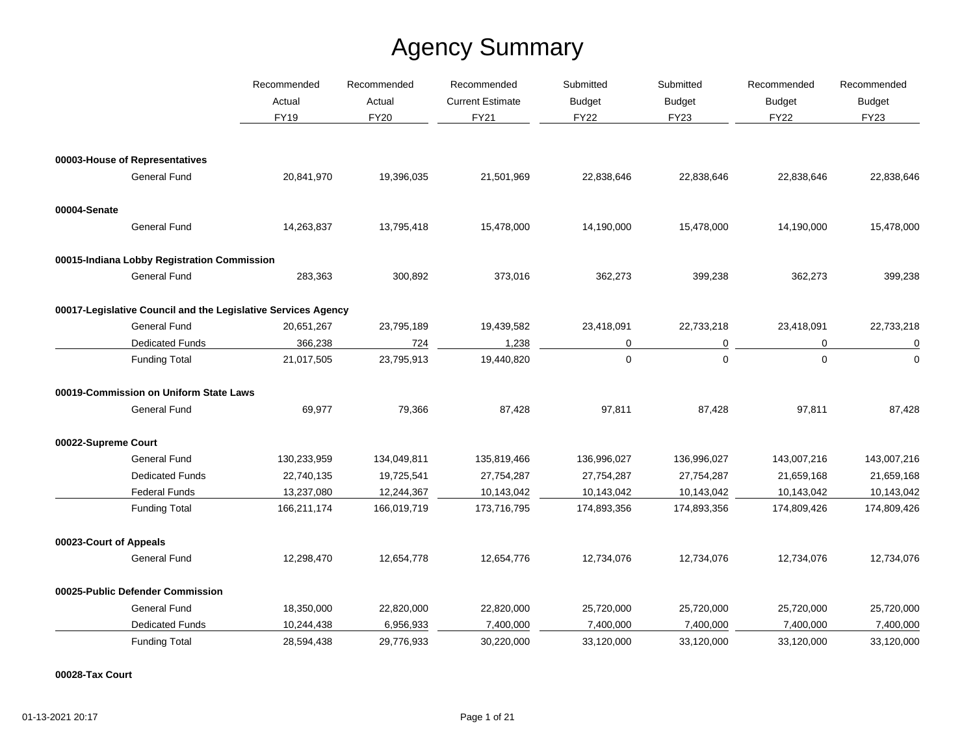|                        |                                                               | Recommended | Recommended<br>Recommended<br>Actual<br>Actual<br><b>Current Estimate</b> | Submitted   | Submitted     | Recommended   | Recommended   |               |
|------------------------|---------------------------------------------------------------|-------------|---------------------------------------------------------------------------|-------------|---------------|---------------|---------------|---------------|
|                        |                                                               |             |                                                                           |             | <b>Budget</b> | <b>Budget</b> | <b>Budget</b> | <b>Budget</b> |
|                        |                                                               | <b>FY19</b> | <b>FY20</b>                                                               | <b>FY21</b> | <b>FY22</b>   | <b>FY23</b>   | <b>FY22</b>   | <b>FY23</b>   |
|                        | 00003-House of Representatives                                |             |                                                                           |             |               |               |               |               |
|                        | <b>General Fund</b>                                           | 20,841,970  | 19,396,035                                                                | 21,501,969  | 22,838,646    | 22,838,646    | 22,838,646    | 22,838,646    |
| 00004-Senate           |                                                               |             |                                                                           |             |               |               |               |               |
|                        | <b>General Fund</b>                                           | 14,263,837  | 13,795,418                                                                | 15,478,000  | 14,190,000    | 15,478,000    | 14,190,000    | 15,478,000    |
|                        | 00015-Indiana Lobby Registration Commission                   |             |                                                                           |             |               |               |               |               |
|                        | <b>General Fund</b>                                           | 283,363     | 300,892                                                                   | 373,016     | 362,273       | 399,238       | 362,273       | 399,238       |
|                        | 00017-Legislative Council and the Legislative Services Agency |             |                                                                           |             |               |               |               |               |
|                        | <b>General Fund</b>                                           | 20,651,267  | 23,795,189                                                                | 19,439,582  | 23,418,091    | 22,733,218    | 23,418,091    | 22,733,218    |
|                        | <b>Dedicated Funds</b>                                        | 366,238     | 724                                                                       | 1,238       | 0             | 0             | 0             | 0             |
|                        | <b>Funding Total</b>                                          | 21,017,505  | 23,795,913                                                                | 19,440,820  | 0             | $\mathbf 0$   | $\mathbf 0$   | $\mathbf 0$   |
|                        | 00019-Commission on Uniform State Laws                        |             |                                                                           |             |               |               |               |               |
|                        | <b>General Fund</b>                                           | 69,977      | 79,366                                                                    | 87,428      | 97,811        | 87,428        | 97,811        | 87,428        |
| 00022-Supreme Court    |                                                               |             |                                                                           |             |               |               |               |               |
|                        | <b>General Fund</b>                                           | 130,233,959 | 134,049,811                                                               | 135,819,466 | 136,996,027   | 136,996,027   | 143,007,216   | 143,007,216   |
|                        | <b>Dedicated Funds</b>                                        | 22,740,135  | 19,725,541                                                                | 27,754,287  | 27,754,287    | 27,754,287    | 21,659,168    | 21,659,168    |
|                        | <b>Federal Funds</b>                                          | 13,237,080  | 12,244,367                                                                | 10,143,042  | 10,143,042    | 10,143,042    | 10,143,042    | 10,143,042    |
|                        | <b>Funding Total</b>                                          | 166,211,174 | 166,019,719                                                               | 173,716,795 | 174,893,356   | 174,893,356   | 174,809,426   | 174,809,426   |
| 00023-Court of Appeals |                                                               |             |                                                                           |             |               |               |               |               |
|                        | <b>General Fund</b>                                           | 12,298,470  | 12,654,778                                                                | 12,654,776  | 12,734,076    | 12,734,076    | 12,734,076    | 12,734,076    |
|                        | 00025-Public Defender Commission                              |             |                                                                           |             |               |               |               |               |
|                        | <b>General Fund</b>                                           | 18,350,000  | 22,820,000                                                                | 22,820,000  | 25,720,000    | 25,720,000    | 25,720,000    | 25,720,000    |
|                        | <b>Dedicated Funds</b>                                        | 10,244,438  | 6,956,933                                                                 | 7,400,000   | 7,400,000     | 7,400,000     | 7,400,000     | 7,400,000     |
|                        | <b>Funding Total</b>                                          | 28,594,438  | 29,776,933                                                                | 30,220,000  | 33,120,000    | 33,120,000    | 33,120,000    | 33,120,000    |

#### **00028-Tax Court**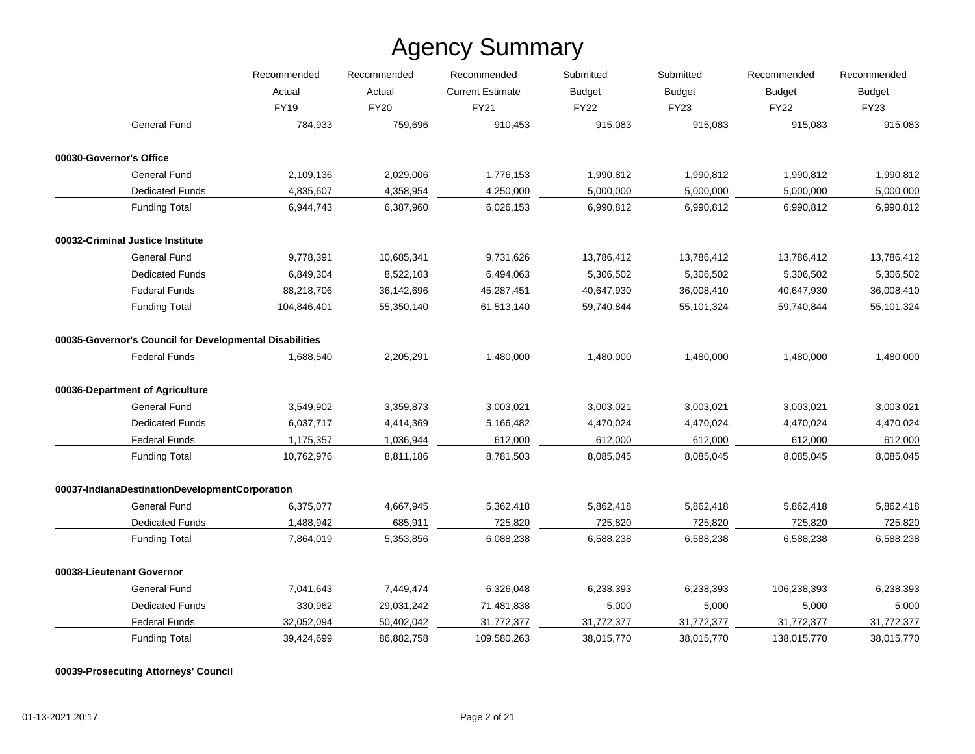|                                                         | Recommended | Recommended | Recommended             | Submitted<br><b>Budget</b> | Submitted<br><b>Budget</b> | Recommended<br><b>Budget</b> | Recommended<br><b>Budget</b> |
|---------------------------------------------------------|-------------|-------------|-------------------------|----------------------------|----------------------------|------------------------------|------------------------------|
|                                                         | Actual      | Actual      | <b>Current Estimate</b> |                            |                            |                              |                              |
|                                                         | <b>FY19</b> | <b>FY20</b> | <b>FY21</b>             | <b>FY22</b>                | <b>FY23</b>                | <b>FY22</b>                  | <b>FY23</b>                  |
| <b>General Fund</b>                                     | 784,933     | 759,696     | 910,453                 | 915,083                    | 915,083                    | 915,083                      | 915,083                      |
| 00030-Governor's Office                                 |             |             |                         |                            |                            |                              |                              |
| <b>General Fund</b>                                     | 2,109,136   | 2,029,006   | 1,776,153               | 1,990,812                  | 1,990,812                  | 1,990,812                    | 1,990,812                    |
| <b>Dedicated Funds</b>                                  | 4,835,607   | 4,358,954   | 4,250,000               | 5,000,000                  | 5,000,000                  | 5,000,000                    | 5,000,000                    |
| <b>Funding Total</b>                                    | 6,944,743   | 6,387,960   | 6,026,153               | 6,990,812                  | 6,990,812                  | 6,990,812                    | 6,990,812                    |
| 00032-Criminal Justice Institute                        |             |             |                         |                            |                            |                              |                              |
| <b>General Fund</b>                                     | 9,778,391   | 10,685,341  | 9,731,626               | 13,786,412                 | 13,786,412                 | 13,786,412                   | 13,786,412                   |
| <b>Dedicated Funds</b>                                  | 6,849,304   | 8,522,103   | 6,494,063               | 5,306,502                  | 5,306,502                  | 5,306,502                    | 5,306,502                    |
| <b>Federal Funds</b>                                    | 88,218,706  | 36,142,696  | 45,287,451              | 40,647,930                 | 36,008,410                 | 40,647,930                   | 36,008,410                   |
| <b>Funding Total</b>                                    | 104,846,401 | 55,350,140  | 61,513,140              | 59,740,844                 | 55,101,324                 | 59,740,844                   | 55,101,324                   |
| 00035-Governor's Council for Developmental Disabilities |             |             |                         |                            |                            |                              |                              |
| <b>Federal Funds</b>                                    | 1,688,540   | 2,205,291   | 1,480,000               | 1,480,000                  | 1,480,000                  | 1,480,000                    | 1,480,000                    |
| 00036-Department of Agriculture                         |             |             |                         |                            |                            |                              |                              |
| <b>General Fund</b>                                     | 3,549,902   | 3,359,873   | 3,003,021               | 3,003,021                  | 3,003,021                  | 3,003,021                    | 3,003,021                    |
| <b>Dedicated Funds</b>                                  | 6,037,717   | 4,414,369   | 5,166,482               | 4,470,024                  | 4,470,024                  | 4,470,024                    | 4,470,024                    |
| <b>Federal Funds</b>                                    | 1,175,357   | 1,036,944   | 612,000                 | 612,000                    | 612,000                    | 612,000                      | 612,000                      |
| <b>Funding Total</b>                                    | 10,762,976  | 8,811,186   | 8,781,503               | 8,085,045                  | 8,085,045                  | 8,085,045                    | 8,085,045                    |
| 00037-IndianaDestinationDevelopmentCorporation          |             |             |                         |                            |                            |                              |                              |
| <b>General Fund</b>                                     | 6,375,077   | 4,667,945   | 5,362,418               | 5,862,418                  | 5,862,418                  | 5,862,418                    | 5,862,418                    |
| <b>Dedicated Funds</b>                                  | 1,488,942   | 685,911     | 725,820                 | 725,820                    | 725,820                    | 725,820                      | 725,820                      |
| <b>Funding Total</b>                                    | 7,864,019   | 5,353,856   | 6,088,238               | 6,588,238                  | 6,588,238                  | 6,588,238                    | 6,588,238                    |
| 00038-Lieutenant Governor                               |             |             |                         |                            |                            |                              |                              |
| <b>General Fund</b>                                     | 7,041,643   | 7,449,474   | 6,326,048               | 6,238,393                  | 6,238,393                  | 106,238,393                  | 6,238,393                    |
| <b>Dedicated Funds</b>                                  | 330,962     | 29,031,242  | 71,481,838              | 5,000                      | 5,000                      | 5,000                        | 5,000                        |
| <b>Federal Funds</b>                                    | 32,052,094  | 50,402,042  | 31,772,377              | 31,772,377                 | 31,772,377                 | 31,772,377                   | 31,772,377                   |
| <b>Funding Total</b>                                    | 39.424.699  | 86.882.758  | 109,580,263             | 38.015.770                 | 38,015,770                 | 138,015,770                  | 38,015,770                   |

**00039-Prosecuting Attorneys' Council**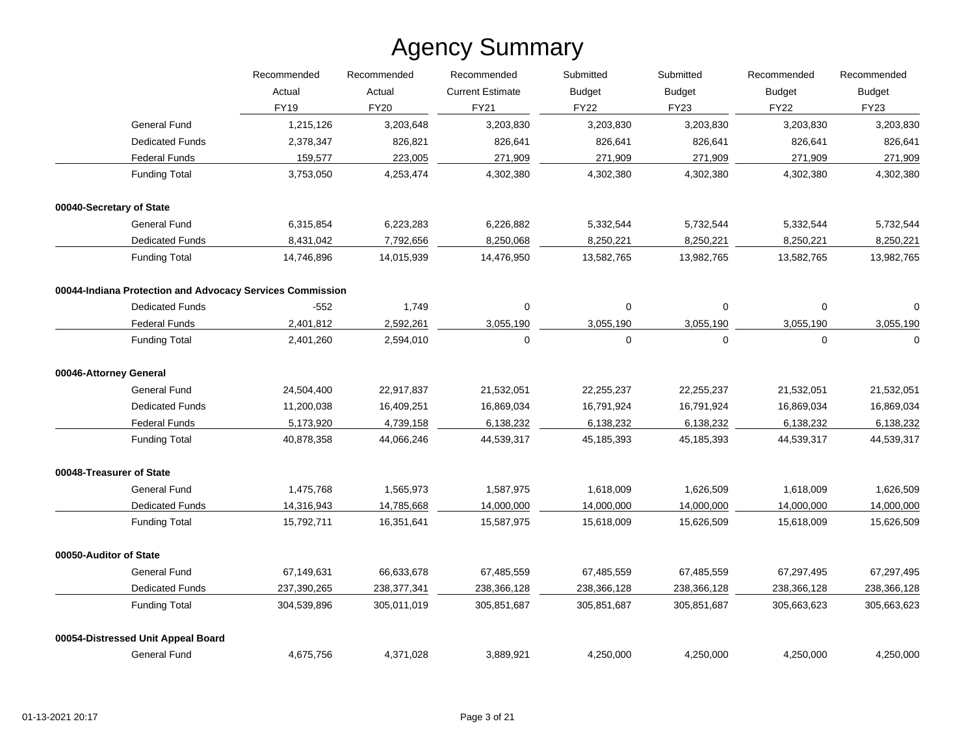|                                                           | Recommended | Recommended | Recommended<br><b>Current Estimate</b> | Submitted<br><b>Budget</b> | Submitted<br><b>Budget</b> | Recommended<br><b>Budget</b> | Recommended<br><b>Budget</b> |
|-----------------------------------------------------------|-------------|-------------|----------------------------------------|----------------------------|----------------------------|------------------------------|------------------------------|
|                                                           | Actual      | Actual      |                                        |                            |                            |                              |                              |
|                                                           | <b>FY19</b> | <b>FY20</b> | <b>FY21</b>                            | <b>FY22</b>                | <b>FY23</b>                | <b>FY22</b>                  | <b>FY23</b>                  |
| General Fund                                              | 1,215,126   | 3,203,648   | 3,203,830                              | 3,203,830                  | 3,203,830                  | 3,203,830                    | 3,203,830                    |
| <b>Dedicated Funds</b>                                    | 2,378,347   | 826,821     | 826,641                                | 826,641                    | 826,641                    | 826,641                      | 826,641                      |
| <b>Federal Funds</b>                                      | 159,577     | 223,005     | 271,909                                | 271,909                    | 271,909                    | 271,909                      | 271,909                      |
| <b>Funding Total</b>                                      | 3,753,050   | 4,253,474   | 4,302,380                              | 4,302,380                  | 4,302,380                  | 4,302,380                    | 4,302,380                    |
| 00040-Secretary of State                                  |             |             |                                        |                            |                            |                              |                              |
| General Fund                                              | 6,315,854   | 6,223,283   | 6,226,882                              | 5,332,544                  | 5,732,544                  | 5,332,544                    | 5,732,544                    |
| <b>Dedicated Funds</b>                                    | 8,431,042   | 7,792,656   | 8,250,068                              | 8,250,221                  | 8,250,221                  | 8,250,221                    | 8,250,221                    |
| <b>Funding Total</b>                                      | 14,746,896  | 14,015,939  | 14,476,950                             | 13,582,765                 | 13,982,765                 | 13,582,765                   | 13,982,765                   |
| 00044-Indiana Protection and Advocacy Services Commission |             |             |                                        |                            |                            |                              |                              |
| <b>Dedicated Funds</b>                                    | $-552$      | 1,749       | 0                                      | 0                          | 0                          | 0                            | $\Omega$                     |
| <b>Federal Funds</b>                                      | 2,401,812   | 2,592,261   | 3,055,190                              | 3,055,190                  | 3,055,190                  | 3,055,190                    | 3,055,190                    |
| <b>Funding Total</b>                                      | 2,401,260   | 2,594,010   | $\mathbf 0$                            | 0                          | 0                          | $\mathbf 0$                  | $\mathbf 0$                  |
| 00046-Attorney General                                    |             |             |                                        |                            |                            |                              |                              |
| <b>General Fund</b>                                       | 24,504,400  | 22,917,837  | 21,532,051                             | 22,255,237                 | 22,255,237                 | 21,532,051                   | 21,532,051                   |
| <b>Dedicated Funds</b>                                    | 11,200,038  | 16,409,251  | 16,869,034                             | 16,791,924                 | 16,791,924                 | 16,869,034                   | 16,869,034                   |
| <b>Federal Funds</b>                                      | 5,173,920   | 4,739,158   | 6,138,232                              | 6,138,232                  | 6,138,232                  | 6,138,232                    | 6,138,232                    |
| <b>Funding Total</b>                                      | 40,878,358  | 44,066,246  | 44,539,317                             | 45,185,393                 | 45,185,393                 | 44,539,317                   | 44,539,317                   |
| 00048-Treasurer of State                                  |             |             |                                        |                            |                            |                              |                              |
| <b>General Fund</b>                                       | 1,475,768   | 1,565,973   | 1,587,975                              | 1,618,009                  | 1,626,509                  | 1,618,009                    | 1,626,509                    |
| <b>Dedicated Funds</b>                                    | 14,316,943  | 14,785,668  | 14,000,000                             | 14,000,000                 | 14,000,000                 | 14,000,000                   | 14,000,000                   |
| <b>Funding Total</b>                                      | 15,792,711  | 16,351,641  | 15,587,975                             | 15,618,009                 | 15,626,509                 | 15,618,009                   | 15,626,509                   |
| 00050-Auditor of State                                    |             |             |                                        |                            |                            |                              |                              |
| General Fund                                              | 67,149,631  | 66,633,678  | 67,485,559                             | 67,485,559                 | 67,485,559                 | 67,297,495                   | 67,297,495                   |
| <b>Dedicated Funds</b>                                    | 237,390,265 | 238,377,341 | 238,366,128                            | 238,366,128                | 238,366,128                | 238,366,128                  | 238,366,128                  |
| <b>Funding Total</b>                                      | 304,539,896 | 305,011,019 | 305,851,687                            | 305,851,687                | 305,851,687                | 305,663,623                  | 305,663,623                  |
| 00054-Distressed Unit Appeal Board                        |             |             |                                        |                            |                            |                              |                              |
| <b>General Fund</b>                                       | 4,675,756   | 4,371,028   | 3,889,921                              | 4,250,000                  | 4,250,000                  | 4,250,000                    | 4,250,000                    |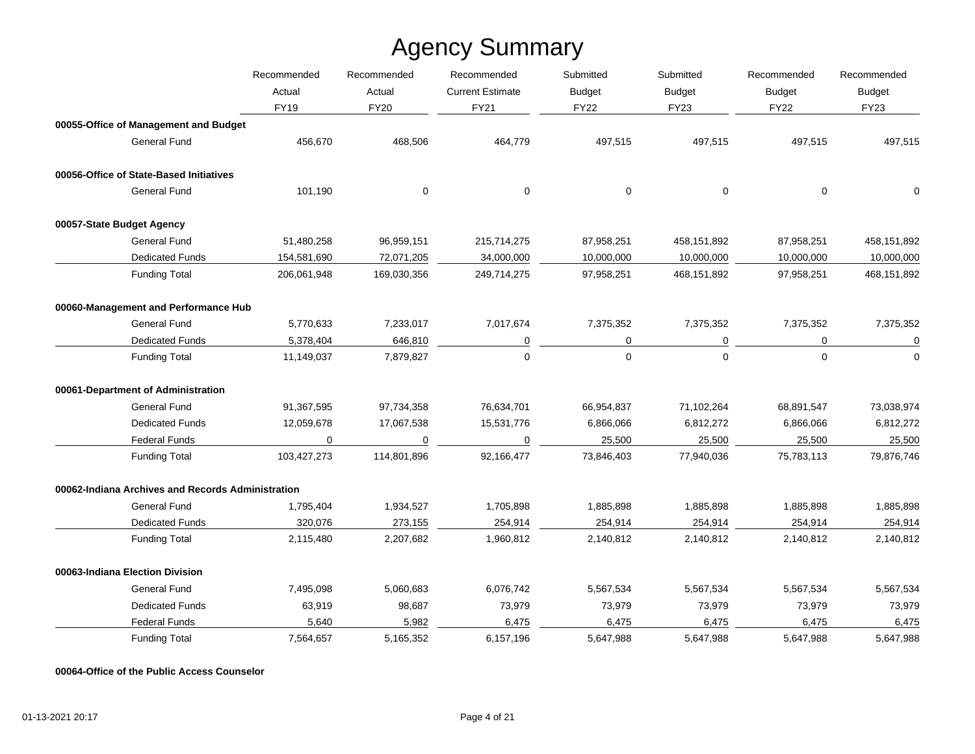|                                                   | Recommended | Recommended | Recommended             | Submitted     | Submitted<br><b>Budget</b> | Recommended<br><b>Budget</b> | Recommended<br><b>Budget</b> |
|---------------------------------------------------|-------------|-------------|-------------------------|---------------|----------------------------|------------------------------|------------------------------|
|                                                   | Actual      | Actual      | <b>Current Estimate</b> | <b>Budget</b> |                            |                              |                              |
|                                                   | <b>FY19</b> | <b>FY20</b> | <b>FY21</b>             | <b>FY22</b>   | <b>FY23</b>                | <b>FY22</b>                  | <b>FY23</b>                  |
| 00055-Office of Management and Budget             |             |             |                         |               |                            |                              |                              |
| General Fund                                      | 456,670     | 468,506     | 464,779                 | 497,515       | 497,515                    | 497,515                      | 497,515                      |
| 00056-Office of State-Based Initiatives           |             |             |                         |               |                            |                              |                              |
| General Fund                                      | 101,190     | $\mathbf 0$ | $\mathbf 0$             | $\mathbf 0$   | $\mathbf 0$                | $\mathbf 0$                  | $\Omega$                     |
| 00057-State Budget Agency                         |             |             |                         |               |                            |                              |                              |
| General Fund                                      | 51,480,258  | 96,959,151  | 215,714,275             | 87,958,251    | 458,151,892                | 87,958,251                   | 458,151,892                  |
| <b>Dedicated Funds</b>                            | 154,581,690 | 72,071,205  | 34,000,000              | 10,000,000    | 10,000,000                 | 10,000,000                   | 10,000,000                   |
| <b>Funding Total</b>                              | 206,061,948 | 169,030,356 | 249,714,275             | 97,958,251    | 468, 151, 892              | 97,958,251                   | 468,151,892                  |
| 00060-Management and Performance Hub              |             |             |                         |               |                            |                              |                              |
| <b>General Fund</b>                               | 5,770,633   | 7,233,017   | 7,017,674               | 7,375,352     | 7,375,352                  | 7,375,352                    | 7,375,352                    |
| <b>Dedicated Funds</b>                            | 5,378,404   | 646,810     | 0                       | 0             | 0                          | 0                            | $\mathbf 0$                  |
| <b>Funding Total</b>                              | 11,149,037  | 7,879,827   | $\Omega$                | $\Omega$      | $\Omega$                   | $\Omega$                     | $\Omega$                     |
| 00061-Department of Administration                |             |             |                         |               |                            |                              |                              |
| General Fund                                      | 91,367,595  | 97,734,358  | 76,634,701              | 66,954,837    | 71,102,264                 | 68,891,547                   | 73,038,974                   |
| <b>Dedicated Funds</b>                            | 12,059,678  | 17,067,538  | 15,531,776              | 6,866,066     | 6,812,272                  | 6,866,066                    | 6,812,272                    |
| <b>Federal Funds</b>                              | 0           | 0           | 0                       | 25,500        | 25,500                     | 25,500                       | 25,500                       |
| <b>Funding Total</b>                              | 103,427,273 | 114.801.896 | 92.166.477              | 73,846,403    | 77,940,036                 | 75,783,113                   | 79,876,746                   |
| 00062-Indiana Archives and Records Administration |             |             |                         |               |                            |                              |                              |
| General Fund                                      | 1,795,404   | 1,934,527   | 1,705,898               | 1,885,898     | 1,885,898                  | 1,885,898                    | 1,885,898                    |
| <b>Dedicated Funds</b>                            | 320,076     | 273,155     | 254,914                 | 254,914       | 254,914                    | 254,914                      | 254,914                      |
| <b>Funding Total</b>                              | 2,115,480   | 2,207,682   | 1,960,812               | 2,140,812     | 2,140,812                  | 2,140,812                    | 2,140,812                    |
| 00063-Indiana Election Division                   |             |             |                         |               |                            |                              |                              |
| <b>General Fund</b>                               | 7,495,098   | 5,060,683   | 6,076,742               | 5,567,534     | 5,567,534                  | 5,567,534                    | 5,567,534                    |
| <b>Dedicated Funds</b>                            | 63,919      | 98,687      | 73,979                  | 73,979        | 73,979                     | 73,979                       | 73,979                       |
| <b>Federal Funds</b>                              | 5,640       | 5,982       | 6,475                   | 6,475         | 6,475                      | 6,475                        | 6,475                        |
| <b>Funding Total</b>                              | 7,564,657   | 5,165,352   | 6,157,196               | 5,647,988     | 5,647,988                  | 5,647,988                    | 5,647,988                    |

**00064-Office of the Public Access Counselor**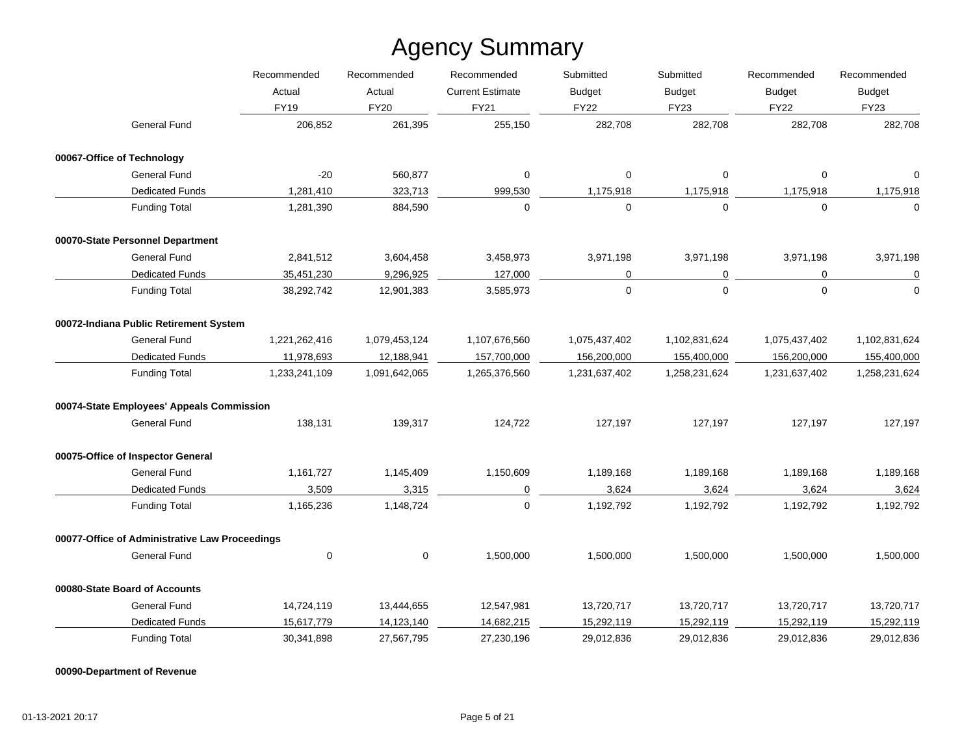|                                                | Recommended<br>Actual | Recommended   | Recommended<br><b>Current Estimate</b> | Submitted<br><b>Budget</b> | Submitted<br><b>Budget</b><br><b>FY23</b> | Recommended<br><b>Budget</b><br><b>FY22</b> | Recommended<br><b>Budget</b><br><b>FY23</b> |
|------------------------------------------------|-----------------------|---------------|----------------------------------------|----------------------------|-------------------------------------------|---------------------------------------------|---------------------------------------------|
|                                                |                       | Actual        |                                        |                            |                                           |                                             |                                             |
|                                                | <b>FY19</b>           | <b>FY20</b>   | <b>FY21</b>                            | <b>FY22</b>                |                                           |                                             |                                             |
| <b>General Fund</b>                            | 206,852               | 261,395       | 255,150                                | 282,708                    | 282,708                                   | 282,708                                     | 282,708                                     |
| 00067-Office of Technology                     |                       |               |                                        |                            |                                           |                                             |                                             |
| <b>General Fund</b>                            | $-20$                 | 560,877       | 0                                      | $\mathbf 0$                | $\Omega$                                  | $\mathbf 0$                                 | $\Omega$                                    |
| <b>Dedicated Funds</b>                         | 1,281,410             | 323,713       | 999,530                                | 1,175,918                  | 1,175,918                                 | 1,175,918                                   | 1,175,918                                   |
| <b>Funding Total</b>                           | 1,281,390             | 884,590       | 0                                      | $\mathbf 0$                | $\mathbf 0$                               | 0                                           | $\mathbf 0$                                 |
| 00070-State Personnel Department               |                       |               |                                        |                            |                                           |                                             |                                             |
| <b>General Fund</b>                            | 2,841,512             | 3,604,458     | 3,458,973                              | 3,971,198                  | 3,971,198                                 | 3,971,198                                   | 3,971,198                                   |
| <b>Dedicated Funds</b>                         | 35,451,230            | 9,296,925     | 127,000                                | 0                          | 0                                         | $\mathbf 0$                                 | $\overline{0}$                              |
| <b>Funding Total</b>                           | 38,292,742            | 12,901,383    | 3,585,973                              | $\mathbf 0$                | $\mathbf 0$                               | $\mathbf{0}$                                | $\mathbf 0$                                 |
| 00072-Indiana Public Retirement System         |                       |               |                                        |                            |                                           |                                             |                                             |
| <b>General Fund</b>                            | 1,221,262,416         | 1,079,453,124 | 1,107,676,560                          | 1,075,437,402              | 1,102,831,624                             | 1,075,437,402                               | 1,102,831,624                               |
| <b>Dedicated Funds</b>                         | 11,978,693            | 12,188,941    | 157,700,000                            | 156,200,000                | 155,400,000                               | 156,200,000                                 | 155,400,000                                 |
| <b>Funding Total</b>                           | 1,233,241,109         | 1,091,642,065 | 1,265,376,560                          | 1,231,637,402              | 1,258,231,624                             | 1,231,637,402                               | 1,258,231,624                               |
| 00074-State Employees' Appeals Commission      |                       |               |                                        |                            |                                           |                                             |                                             |
| <b>General Fund</b>                            | 138,131               | 139,317       | 124,722                                | 127,197                    | 127,197                                   | 127,197                                     | 127,197                                     |
| 00075-Office of Inspector General              |                       |               |                                        |                            |                                           |                                             |                                             |
| <b>General Fund</b>                            | 1,161,727             | 1,145,409     | 1,150,609                              | 1,189,168                  | 1,189,168                                 | 1,189,168                                   | 1,189,168                                   |
| <b>Dedicated Funds</b>                         | 3,509                 | 3,315         | 0                                      | 3,624                      | 3,624                                     | 3,624                                       | 3,624                                       |
| <b>Funding Total</b>                           | 1,165,236             | 1,148,724     | $\Omega$                               | 1,192,792                  | 1,192,792                                 | 1,192,792                                   | 1,192,792                                   |
| 00077-Office of Administrative Law Proceedings |                       |               |                                        |                            |                                           |                                             |                                             |
| <b>General Fund</b>                            | $\mathbf 0$           | $\mathsf 0$   | 1,500,000                              | 1,500,000                  | 1,500,000                                 | 1,500,000                                   | 1,500,000                                   |
| 00080-State Board of Accounts                  |                       |               |                                        |                            |                                           |                                             |                                             |
| <b>General Fund</b>                            | 14,724,119            | 13,444,655    | 12,547,981                             | 13,720,717                 | 13,720,717                                | 13,720,717                                  | 13,720,717                                  |
| <b>Dedicated Funds</b>                         | 15,617,779            | 14,123,140    | 14,682,215                             | 15,292,119                 | 15,292,119                                | 15,292,119                                  | 15,292,119                                  |
| <b>Funding Total</b>                           | 30,341,898            | 27,567,795    | 27,230,196                             | 29,012,836                 | 29,012,836                                | 29,012,836                                  | 29,012,836                                  |

**00090-Department of Revenue**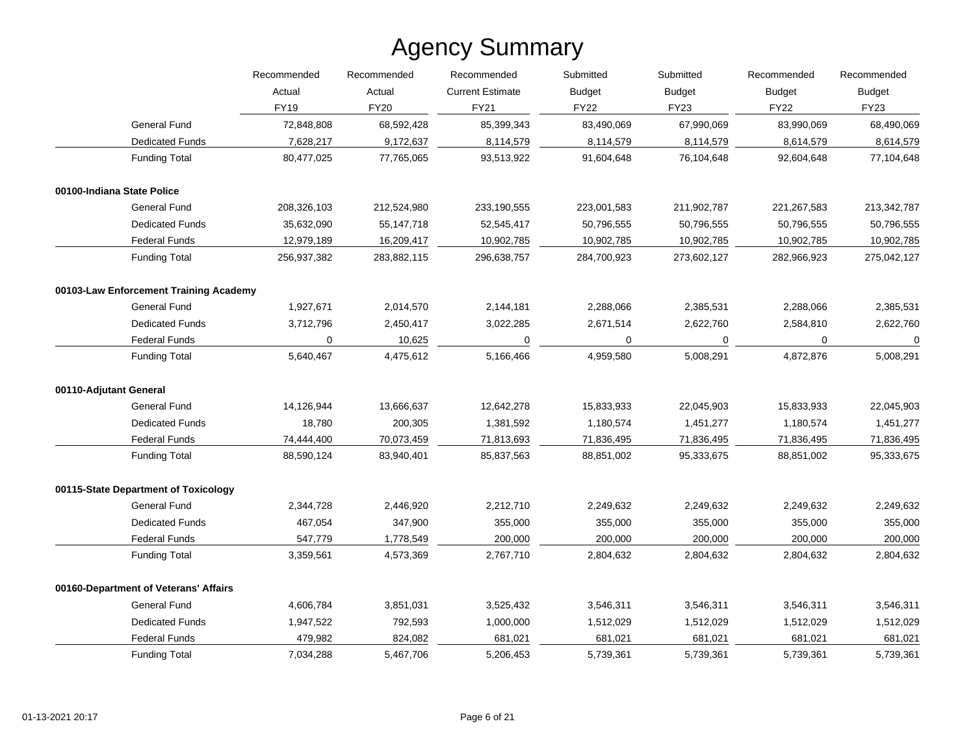|                                        | Recommended | Recommended  | Recommended             | Submitted   | Submitted<br><b>Budget</b><br><b>Budget</b> | Recommended<br><b>Budget</b><br><b>FY22</b> | Recommended<br><b>Budget</b><br><b>FY23</b> |
|----------------------------------------|-------------|--------------|-------------------------|-------------|---------------------------------------------|---------------------------------------------|---------------------------------------------|
|                                        | Actual      | Actual       | <b>Current Estimate</b> |             |                                             |                                             |                                             |
|                                        | FY19        | <b>FY20</b>  | FY21                    | <b>FY22</b> | <b>FY23</b>                                 |                                             |                                             |
| General Fund                           | 72,848,808  | 68,592,428   | 85,399,343              | 83,490,069  | 67,990,069                                  | 83,990,069                                  | 68,490,069                                  |
| <b>Dedicated Funds</b>                 | 7,628,217   | 9,172,637    | 8,114,579               | 8,114,579   | 8,114,579                                   | 8,614,579                                   | 8,614,579                                   |
| <b>Funding Total</b>                   | 80,477,025  | 77,765,065   | 93,513,922              | 91,604,648  | 76,104,648                                  | 92,604,648                                  | 77,104,648                                  |
| 00100-Indiana State Police             |             |              |                         |             |                                             |                                             |                                             |
| General Fund                           | 208,326,103 | 212,524,980  | 233,190,555             | 223,001,583 | 211,902,787                                 | 221,267,583                                 | 213,342,787                                 |
| <b>Dedicated Funds</b>                 | 35,632,090  | 55, 147, 718 | 52,545,417              | 50,796,555  | 50,796,555                                  | 50,796,555                                  | 50,796,555                                  |
| <b>Federal Funds</b>                   | 12,979,189  | 16,209,417   | 10,902,785              | 10,902,785  | 10,902,785                                  | 10,902,785                                  | 10,902,785                                  |
| <b>Funding Total</b>                   | 256,937,382 | 283,882,115  | 296,638,757             | 284,700,923 | 273,602,127                                 | 282,966,923                                 | 275,042,127                                 |
| 00103-Law Enforcement Training Academy |             |              |                         |             |                                             |                                             |                                             |
| General Fund                           | 1,927,671   | 2,014,570    | 2,144,181               | 2,288,066   | 2,385,531                                   | 2,288,066                                   | 2,385,531                                   |
| <b>Dedicated Funds</b>                 | 3,712,796   | 2,450,417    | 3,022,285               | 2,671,514   | 2,622,760                                   | 2,584,810                                   | 2,622,760                                   |
| <b>Federal Funds</b>                   | 0           | 10,625       | 0                       | $\Omega$    | 0                                           | 0                                           | 0                                           |
| <b>Funding Total</b>                   | 5,640,467   | 4,475,612    | 5,166,466               | 4,959,580   | 5,008,291                                   | 4,872,876                                   | 5,008,291                                   |
| 00110-Adjutant General                 |             |              |                         |             |                                             |                                             |                                             |
| General Fund                           | 14,126,944  | 13,666,637   | 12,642,278              | 15,833,933  | 22,045,903                                  | 15,833,933                                  | 22,045,903                                  |
| <b>Dedicated Funds</b>                 | 18,780      | 200,305      | 1,381,592               | 1,180,574   | 1,451,277                                   | 1,180,574                                   | 1,451,277                                   |
| <b>Federal Funds</b>                   | 74,444,400  | 70,073,459   | 71,813,693              | 71,836,495  | 71,836,495                                  | 71,836,495                                  | 71,836,495                                  |
| <b>Funding Total</b>                   | 88,590,124  | 83,940,401   | 85,837,563              | 88,851,002  | 95,333,675                                  | 88,851,002                                  | 95,333,675                                  |
| 00115-State Department of Toxicology   |             |              |                         |             |                                             |                                             |                                             |
| General Fund                           | 2,344,728   | 2,446,920    | 2,212,710               | 2,249,632   | 2,249,632                                   | 2,249,632                                   | 2,249,632                                   |
| <b>Dedicated Funds</b>                 | 467,054     | 347,900      | 355,000                 | 355,000     | 355,000                                     | 355,000                                     | 355,000                                     |
| <b>Federal Funds</b>                   | 547,779     | 1,778,549    | 200,000                 | 200,000     | 200,000                                     | 200,000                                     | 200,000                                     |
| <b>Funding Total</b>                   | 3,359,561   | 4,573,369    | 2,767,710               | 2,804,632   | 2,804,632                                   | 2,804,632                                   | 2,804,632                                   |
| 00160-Department of Veterans' Affairs  |             |              |                         |             |                                             |                                             |                                             |
| General Fund                           | 4,606,784   | 3,851,031    | 3,525,432               | 3,546,311   | 3,546,311                                   | 3,546,311                                   | 3,546,311                                   |
| <b>Dedicated Funds</b>                 | 1,947,522   | 792,593      | 1,000,000               | 1,512,029   | 1,512,029                                   | 1,512,029                                   | 1,512,029                                   |
| <b>Federal Funds</b>                   | 479,982     | 824,082      | 681,021                 | 681,021     | 681,021                                     | 681,021                                     | 681,021                                     |
| <b>Funding Total</b>                   | 7,034,288   | 5,467,706    | 5,206,453               | 5,739,361   | 5,739,361                                   | 5,739,361                                   | 5,739,361                                   |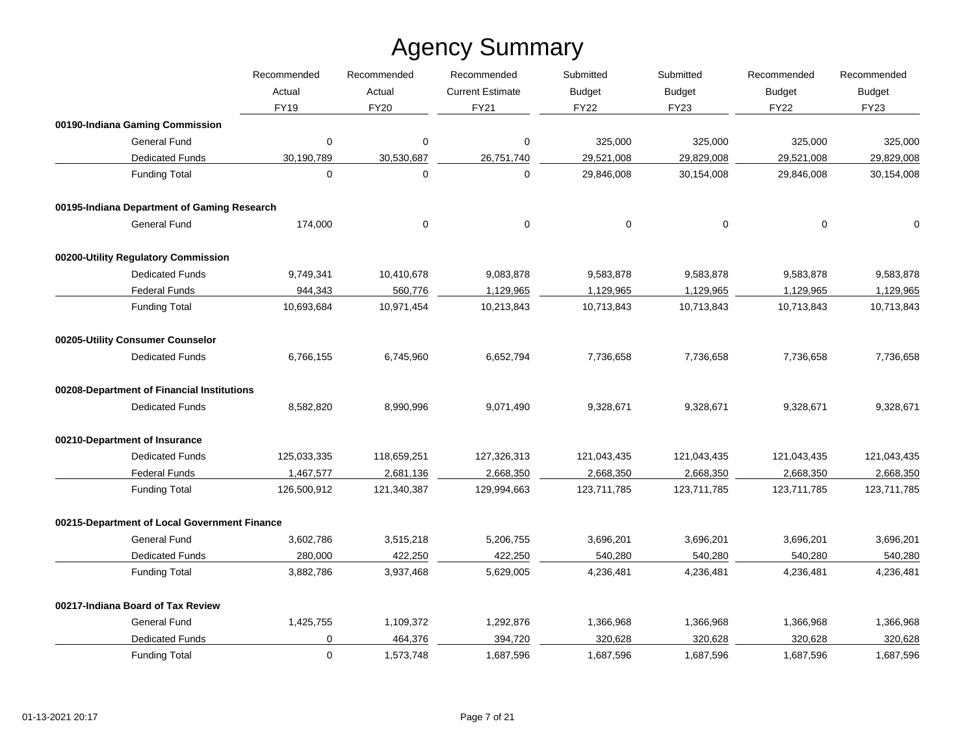|                                              | Recommended | Recommended | Recommended             | Submitted     | Submitted     | Recommended                  | Recommended   |
|----------------------------------------------|-------------|-------------|-------------------------|---------------|---------------|------------------------------|---------------|
|                                              | Actual      | Actual      | <b>Current Estimate</b> | <b>Budget</b> | <b>Budget</b> | <b>Budget</b><br><b>FY22</b> | <b>Budget</b> |
|                                              | FY19        | <b>FY20</b> | <b>FY21</b>             | <b>FY22</b>   | <b>FY23</b>   |                              | <b>FY23</b>   |
| 00190-Indiana Gaming Commission              |             |             |                         |               |               |                              |               |
| General Fund                                 | 0           | $\mathbf 0$ | 0                       | 325,000       | 325,000       | 325,000                      | 325,000       |
| <b>Dedicated Funds</b>                       | 30,190,789  | 30,530,687  | 26,751,740              | 29,521,008    | 29,829,008    | 29,521,008                   | 29,829,008    |
| <b>Funding Total</b>                         | $\Omega$    | $\Omega$    | $\Omega$                | 29,846,008    | 30,154,008    | 29,846,008                   | 30,154,008    |
| 00195-Indiana Department of Gaming Research  |             |             |                         |               |               |                              |               |
| <b>General Fund</b>                          | 174,000     | 0           | 0                       | $\mathbf 0$   | 0             | 0                            | $\mathbf 0$   |
| 00200-Utility Regulatory Commission          |             |             |                         |               |               |                              |               |
| <b>Dedicated Funds</b>                       | 9,749,341   | 10,410,678  | 9,083,878               | 9,583,878     | 9,583,878     | 9,583,878                    | 9,583,878     |
| <b>Federal Funds</b>                         | 944,343     | 560,776     | 1,129,965               | 1,129,965     | 1,129,965     | 1,129,965                    | 1,129,965     |
| <b>Funding Total</b>                         | 10,693,684  | 10,971,454  | 10,213,843              | 10,713,843    | 10,713,843    | 10,713,843                   | 10,713,843    |
| 00205-Utility Consumer Counselor             |             |             |                         |               |               |                              |               |
| <b>Dedicated Funds</b>                       | 6,766,155   | 6,745,960   | 6,652,794               | 7,736,658     | 7,736,658     | 7,736,658                    | 7,736,658     |
| 00208-Department of Financial Institutions   |             |             |                         |               |               |                              |               |
| <b>Dedicated Funds</b>                       | 8,582,820   | 8,990,996   | 9,071,490               | 9,328,671     | 9,328,671     | 9,328,671                    | 9,328,671     |
| 00210-Department of Insurance                |             |             |                         |               |               |                              |               |
| <b>Dedicated Funds</b>                       | 125,033,335 | 118,659,251 | 127,326,313             | 121,043,435   | 121,043,435   | 121,043,435                  | 121,043,435   |
| <b>Federal Funds</b>                         | 1,467,577   | 2,681,136   | 2,668,350               | 2,668,350     | 2,668,350     | 2,668,350                    | 2,668,350     |
| <b>Funding Total</b>                         | 126,500,912 | 121,340,387 | 129,994,663             | 123,711,785   | 123,711,785   | 123,711,785                  | 123,711,785   |
| 00215-Department of Local Government Finance |             |             |                         |               |               |                              |               |
| <b>General Fund</b>                          | 3,602,786   | 3,515,218   | 5,206,755               | 3,696,201     | 3,696,201     | 3,696,201                    | 3,696,201     |
| <b>Dedicated Funds</b>                       | 280,000     | 422,250     | 422,250                 | 540,280       | 540,280       | 540,280                      | 540,280       |
| <b>Funding Total</b>                         | 3,882,786   | 3,937,468   | 5,629,005               | 4,236,481     | 4,236,481     | 4,236,481                    | 4,236,481     |
| 00217-Indiana Board of Tax Review            |             |             |                         |               |               |                              |               |
| <b>General Fund</b>                          | 1,425,755   | 1,109,372   | 1,292,876               | 1,366,968     | 1,366,968     | 1,366,968                    | 1,366,968     |
| Dedicated Funds                              | 0           | 464,376     | 394,720                 | 320,628       | 320,628       | 320,628                      | 320,628       |
| <b>Funding Total</b>                         | $\mathbf 0$ | 1,573,748   | 1,687,596               | 1,687,596     | 1,687,596     | 1,687,596                    | 1,687,596     |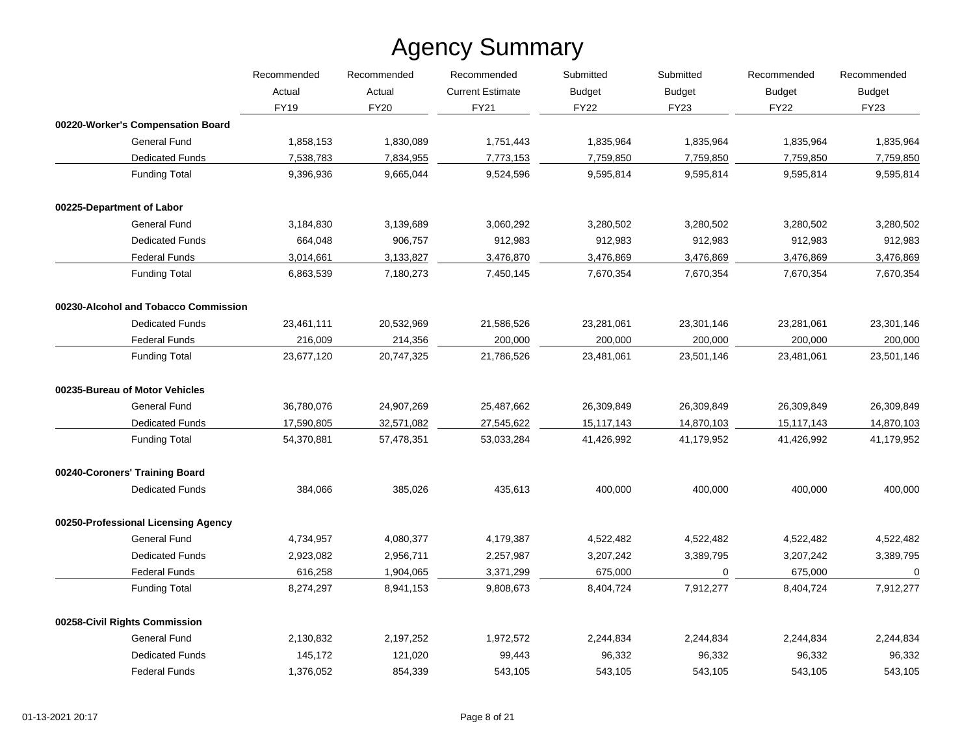|                                      | Recommended | Recommended           | Recommended<br><b>Current Estimate</b> | Submitted<br><b>Budget</b> | Submitted<br><b>Budget</b> | Recommended<br><b>Budget</b><br><b>FY22</b> | Recommended<br><b>Budget</b><br><b>FY23</b> |
|--------------------------------------|-------------|-----------------------|----------------------------------------|----------------------------|----------------------------|---------------------------------------------|---------------------------------------------|
|                                      | Actual      | Actual<br><b>FY20</b> |                                        |                            |                            |                                             |                                             |
|                                      | <b>FY19</b> |                       | FY21                                   | <b>FY22</b>                | <b>FY23</b>                |                                             |                                             |
| 00220-Worker's Compensation Board    |             |                       |                                        |                            |                            |                                             |                                             |
| <b>General Fund</b>                  | 1,858,153   | 1,830,089             | 1,751,443                              | 1,835,964                  | 1,835,964                  | 1,835,964                                   | 1,835,964                                   |
| <b>Dedicated Funds</b>               | 7,538,783   | 7,834,955             | 7,773,153                              | 7,759,850                  | 7,759,850                  | 7,759,850                                   | 7,759,850                                   |
| <b>Funding Total</b>                 | 9,396,936   | 9,665,044             | 9,524,596                              | 9,595,814                  | 9,595,814                  | 9,595,814                                   | 9,595,814                                   |
| 00225-Department of Labor            |             |                       |                                        |                            |                            |                                             |                                             |
| <b>General Fund</b>                  | 3,184,830   | 3,139,689             | 3,060,292                              | 3,280,502                  | 3,280,502                  | 3,280,502                                   | 3,280,502                                   |
| <b>Dedicated Funds</b>               | 664,048     | 906,757               | 912,983                                | 912,983                    | 912,983                    | 912,983                                     | 912,983                                     |
| <b>Federal Funds</b>                 | 3,014,661   | 3,133,827             | 3,476,870                              | 3,476,869                  | 3,476,869                  | 3,476,869                                   | 3,476,869                                   |
| <b>Funding Total</b>                 | 6,863,539   | 7,180,273             | 7,450,145                              | 7,670,354                  | 7,670,354                  | 7,670,354                                   | 7,670,354                                   |
| 00230-Alcohol and Tobacco Commission |             |                       |                                        |                            |                            |                                             |                                             |
| <b>Dedicated Funds</b>               | 23,461,111  | 20,532,969            | 21,586,526                             | 23,281,061                 | 23,301,146                 | 23,281,061                                  | 23,301,146                                  |
| <b>Federal Funds</b>                 | 216,009     | 214,356               | 200,000                                | 200,000                    | 200,000                    | 200,000                                     | 200,000                                     |
| <b>Funding Total</b>                 | 23,677,120  | 20,747,325            | 21,786,526                             | 23,481,061                 | 23,501,146                 | 23,481,061                                  | 23,501,146                                  |
| 00235-Bureau of Motor Vehicles       |             |                       |                                        |                            |                            |                                             |                                             |
| <b>General Fund</b>                  | 36,780,076  | 24,907,269            | 25,487,662                             | 26,309,849                 | 26,309,849                 | 26,309,849                                  | 26,309,849                                  |
| <b>Dedicated Funds</b>               | 17,590,805  | 32,571,082            | 27,545,622                             | 15,117,143                 | 14,870,103                 | 15,117,143                                  | 14,870,103                                  |
| <b>Funding Total</b>                 | 54,370,881  | 57,478,351            | 53,033,284                             | 41,426,992                 | 41,179,952                 | 41,426,992                                  | 41,179,952                                  |
| 00240-Coroners' Training Board       |             |                       |                                        |                            |                            |                                             |                                             |
| <b>Dedicated Funds</b>               | 384,066     | 385,026               | 435,613                                | 400,000                    | 400,000                    | 400,000                                     | 400,000                                     |
| 00250-Professional Licensing Agency  |             |                       |                                        |                            |                            |                                             |                                             |
| <b>General Fund</b>                  | 4,734,957   | 4,080,377             | 4,179,387                              | 4,522,482                  | 4,522,482                  | 4,522,482                                   | 4,522,482                                   |
| <b>Dedicated Funds</b>               | 2,923,082   | 2,956,711             | 2,257,987                              | 3,207,242                  | 3,389,795                  | 3,207,242                                   | 3,389,795                                   |
| <b>Federal Funds</b>                 | 616,258     | 1,904,065             | 3,371,299                              | 675,000                    | 0                          | 675,000                                     | 0                                           |
| <b>Funding Total</b>                 | 8,274,297   | 8,941,153             | 9,808,673                              | 8,404,724                  | 7,912,277                  | 8,404,724                                   | 7,912,277                                   |
| 00258-Civil Rights Commission        |             |                       |                                        |                            |                            |                                             |                                             |
| <b>General Fund</b>                  | 2,130,832   | 2,197,252             | 1,972,572                              | 2,244,834                  | 2,244,834                  | 2,244,834                                   | 2,244,834                                   |
| <b>Dedicated Funds</b>               | 145,172     | 121,020               | 99,443                                 | 96,332                     | 96,332                     | 96,332                                      | 96,332                                      |
| <b>Federal Funds</b>                 | 1,376,052   | 854,339               | 543,105                                | 543,105                    | 543,105                    | 543,105                                     | 543,105                                     |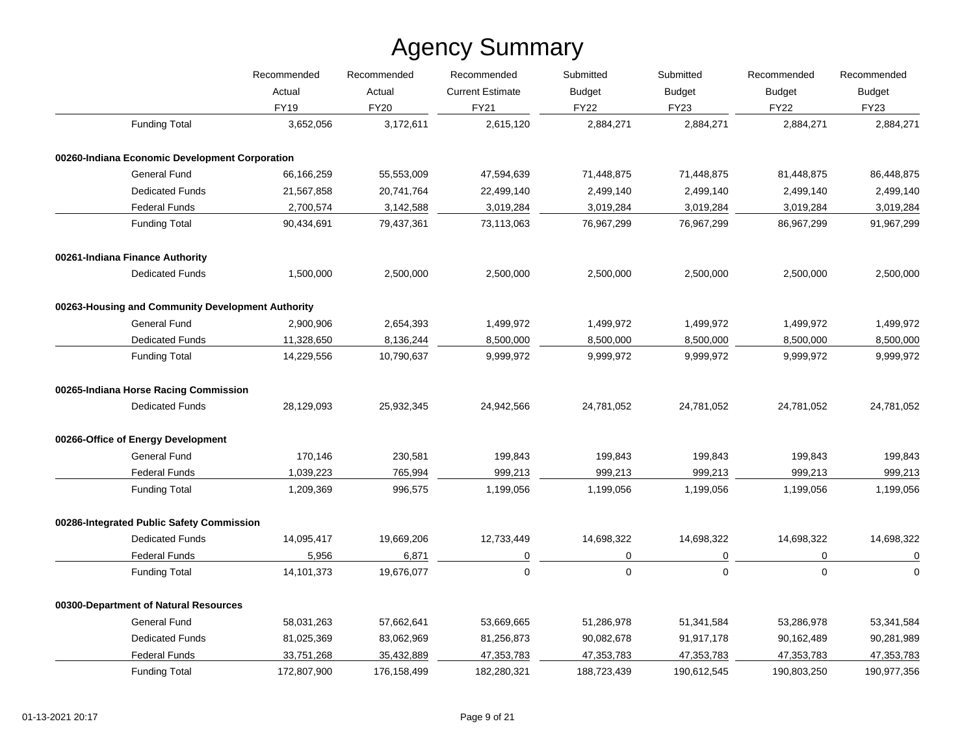|                                                   | Recommended<br>Actual | Recommended<br>Actual | Recommended<br><b>Current Estimate</b> | Submitted<br><b>Budget</b> | Submitted<br><b>Budget</b> | Recommended<br><b>Budget</b> | Recommended<br><b>Budget</b> |
|---------------------------------------------------|-----------------------|-----------------------|----------------------------------------|----------------------------|----------------------------|------------------------------|------------------------------|
|                                                   |                       |                       |                                        |                            |                            |                              |                              |
|                                                   | <b>FY19</b>           | <b>FY20</b>           | <b>FY21</b>                            | <b>FY22</b>                | <b>FY23</b>                | <b>FY22</b>                  | <b>FY23</b>                  |
| <b>Funding Total</b>                              | 3,652,056             | 3,172,611             | 2,615,120                              | 2,884,271                  | 2,884,271                  | 2,884,271                    | 2,884,271                    |
| 00260-Indiana Economic Development Corporation    |                       |                       |                                        |                            |                            |                              |                              |
| General Fund                                      | 66,166,259            | 55,553,009            | 47,594,639                             | 71,448,875                 | 71,448,875                 | 81,448,875                   | 86,448,875                   |
| <b>Dedicated Funds</b>                            | 21,567,858            | 20,741,764            | 22,499,140                             | 2,499,140                  | 2,499,140                  | 2,499,140                    | 2,499,140                    |
| <b>Federal Funds</b>                              | 2,700,574             | 3,142,588             | 3,019,284                              | 3,019,284                  | 3,019,284                  | 3,019,284                    | 3,019,284                    |
| <b>Funding Total</b>                              | 90,434,691            | 79,437,361            | 73,113,063                             | 76,967,299                 | 76,967,299                 | 86,967,299                   | 91,967,299                   |
| 00261-Indiana Finance Authority                   |                       |                       |                                        |                            |                            |                              |                              |
| <b>Dedicated Funds</b>                            | 1,500,000             | 2,500,000             | 2,500,000                              | 2,500,000                  | 2,500,000                  | 2,500,000                    | 2,500,000                    |
| 00263-Housing and Community Development Authority |                       |                       |                                        |                            |                            |                              |                              |
| <b>General Fund</b>                               | 2,900,906             | 2,654,393             | 1,499,972                              | 1,499,972                  | 1,499,972                  | 1,499,972                    | 1,499,972                    |
| <b>Dedicated Funds</b>                            | 11,328,650            | 8,136,244             | 8,500,000                              | 8,500,000                  | 8,500,000                  | 8,500,000                    | 8,500,000                    |
| <b>Funding Total</b>                              | 14,229,556            | 10,790,637            | 9,999,972                              | 9,999,972                  | 9,999,972                  | 9,999,972                    | 9,999,972                    |
| 00265-Indiana Horse Racing Commission             |                       |                       |                                        |                            |                            |                              |                              |
| <b>Dedicated Funds</b>                            | 28,129,093            | 25,932,345            | 24,942,566                             | 24,781,052                 | 24,781,052                 | 24,781,052                   | 24,781,052                   |
| 00266-Office of Energy Development                |                       |                       |                                        |                            |                            |                              |                              |
| <b>General Fund</b>                               | 170,146               | 230,581               | 199,843                                | 199,843                    | 199,843                    | 199,843                      | 199,843                      |
| <b>Federal Funds</b>                              | 1,039,223             | 765,994               | 999,213                                | 999,213                    | 999,213                    | 999,213                      | 999,213                      |
| <b>Funding Total</b>                              | 1,209,369             | 996,575               | 1,199,056                              | 1,199,056                  | 1,199,056                  | 1,199,056                    | 1,199,056                    |
| 00286-Integrated Public Safety Commission         |                       |                       |                                        |                            |                            |                              |                              |
| <b>Dedicated Funds</b>                            | 14,095,417            | 19,669,206            | 12,733,449                             | 14,698,322                 | 14,698,322                 | 14,698,322                   | 14,698,322                   |
| <b>Federal Funds</b>                              | 5,956                 | 6,871                 | 0                                      | 0                          | 0                          | 0                            | $\pmb{0}$                    |
| <b>Funding Total</b>                              | 14,101,373            | 19,676,077            | $\mathbf{0}$                           | $\mathbf 0$                | $\mathbf 0$                | $\mathbf 0$                  | $\mathbf 0$                  |
| 00300-Department of Natural Resources             |                       |                       |                                        |                            |                            |                              |                              |
| <b>General Fund</b>                               | 58,031,263            | 57,662,641            | 53,669,665                             | 51,286,978                 | 51,341,584                 | 53,286,978                   | 53,341,584                   |
| <b>Dedicated Funds</b>                            | 81,025,369            | 83,062,969            | 81,256,873                             | 90,082,678                 | 91,917,178                 | 90,162,489                   | 90,281,989                   |
| <b>Federal Funds</b>                              | 33,751,268            | 35,432,889            | 47,353,783                             | 47,353,783                 | 47,353,783                 | 47,353,783                   | 47,353,783                   |
| <b>Funding Total</b>                              | 172,807,900           | 176,158,499           | 182,280,321                            | 188,723,439                | 190,612,545                | 190,803,250                  | 190,977,356                  |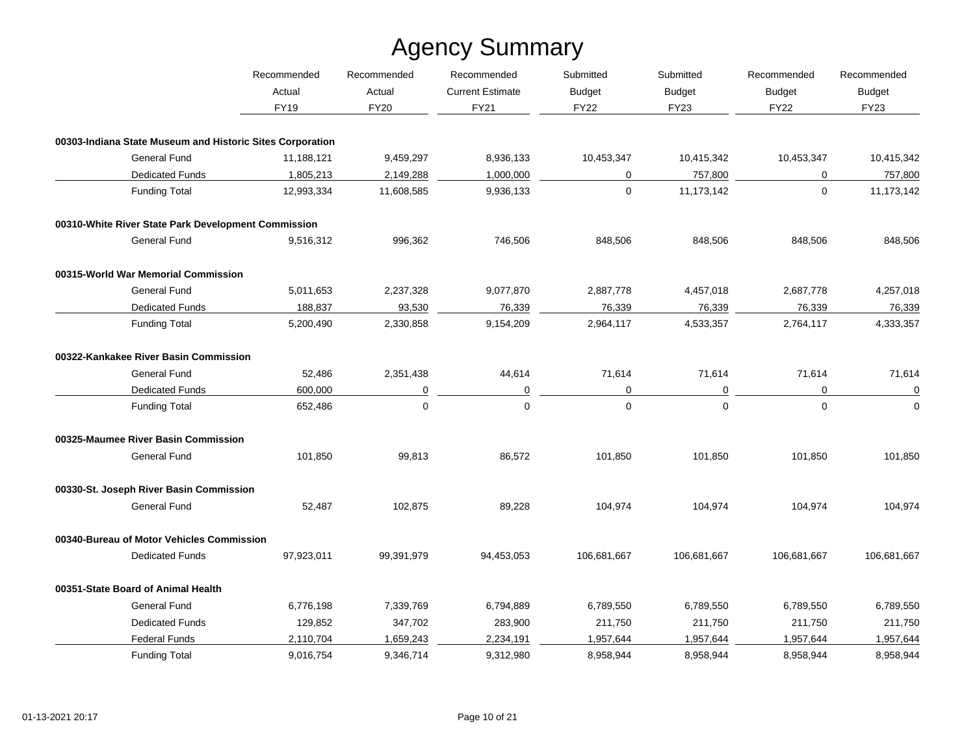|                                                           | Recommended<br>Actual | Recommended    | Recommended             | Submitted     | Submitted<br><b>Budget</b> | Recommended<br><b>Budget</b><br><b>FY22</b> | Recommended<br><b>Budget</b> |
|-----------------------------------------------------------|-----------------------|----------------|-------------------------|---------------|----------------------------|---------------------------------------------|------------------------------|
|                                                           |                       | Actual         | <b>Current Estimate</b> | <b>Budget</b> |                            |                                             |                              |
|                                                           | <b>FY19</b>           | <b>FY20</b>    | FY21                    | <b>FY22</b>   | <b>FY23</b>                |                                             | <b>FY23</b>                  |
| 00303-Indiana State Museum and Historic Sites Corporation |                       |                |                         |               |                            |                                             |                              |
| <b>General Fund</b>                                       | 11,188,121            | 9,459,297      | 8,936,133               | 10,453,347    | 10,415,342                 | 10,453,347                                  | 10,415,342                   |
| <b>Dedicated Funds</b>                                    | 1,805,213             | 2,149,288      | 1,000,000               | 0             | 757,800                    | 0                                           | 757,800                      |
| <b>Funding Total</b>                                      | 12,993,334            | 11,608,585     | 9,936,133               | $\mathbf 0$   | 11,173,142                 | $\mathbf 0$                                 | 11,173,142                   |
| 00310-White River State Park Development Commission       |                       |                |                         |               |                            |                                             |                              |
| <b>General Fund</b>                                       | 9,516,312             | 996,362        | 746,506                 | 848,506       | 848,506                    | 848,506                                     | 848,506                      |
| 00315-World War Memorial Commission                       |                       |                |                         |               |                            |                                             |                              |
| <b>General Fund</b>                                       | 5,011,653             | 2,237,328      | 9,077,870               | 2,887,778     | 4,457,018                  | 2,687,778                                   | 4,257,018                    |
| <b>Dedicated Funds</b>                                    | 188,837               | 93,530         | 76,339                  | 76,339        | 76,339                     | 76,339                                      | 76,339                       |
| <b>Funding Total</b>                                      | 5,200,490             | 2,330,858      | 9,154,209               | 2,964,117     | 4,533,357                  | 2,764,117                                   | 4,333,357                    |
| 00322-Kankakee River Basin Commission                     |                       |                |                         |               |                            |                                             |                              |
| <b>General Fund</b>                                       | 52,486                | 2,351,438      | 44,614                  | 71,614        | 71,614                     | 71,614                                      | 71,614                       |
| <b>Dedicated Funds</b>                                    | 600,000               | $\overline{0}$ | $\overline{0}$          | 0             | $\overline{0}$             | $\mathbf 0$                                 | $\mathbf 0$                  |
| <b>Funding Total</b>                                      | 652,486               | $\mathbf 0$    | 0                       | $\mathbf 0$   | 0                          | $\mathbf 0$                                 | $\mathbf 0$                  |
| 00325-Maumee River Basin Commission                       |                       |                |                         |               |                            |                                             |                              |
| <b>General Fund</b>                                       | 101,850               | 99,813         | 86,572                  | 101,850       | 101,850                    | 101,850                                     | 101,850                      |
| 00330-St. Joseph River Basin Commission                   |                       |                |                         |               |                            |                                             |                              |
| <b>General Fund</b>                                       | 52,487                | 102,875        | 89,228                  | 104,974       | 104,974                    | 104,974                                     | 104,974                      |
| 00340-Bureau of Motor Vehicles Commission                 |                       |                |                         |               |                            |                                             |                              |
| <b>Dedicated Funds</b>                                    | 97,923,011            | 99,391,979     | 94,453,053              | 106,681,667   | 106,681,667                | 106,681,667                                 | 106,681,667                  |
| 00351-State Board of Animal Health                        |                       |                |                         |               |                            |                                             |                              |
| <b>General Fund</b>                                       | 6,776,198             | 7,339,769      | 6,794,889               | 6,789,550     | 6,789,550                  | 6,789,550                                   | 6,789,550                    |
| <b>Dedicated Funds</b>                                    | 129,852               | 347,702        | 283,900                 | 211,750       | 211,750                    | 211,750                                     | 211,750                      |
| <b>Federal Funds</b>                                      | 2,110,704             | 1,659,243      | 2,234,191               | 1,957,644     | 1,957,644                  | 1,957,644                                   | 1,957,644                    |
| <b>Funding Total</b>                                      | 9,016,754             | 9,346,714      | 9,312,980               | 8,958,944     | 8,958,944                  | 8,958,944                                   | 8,958,944                    |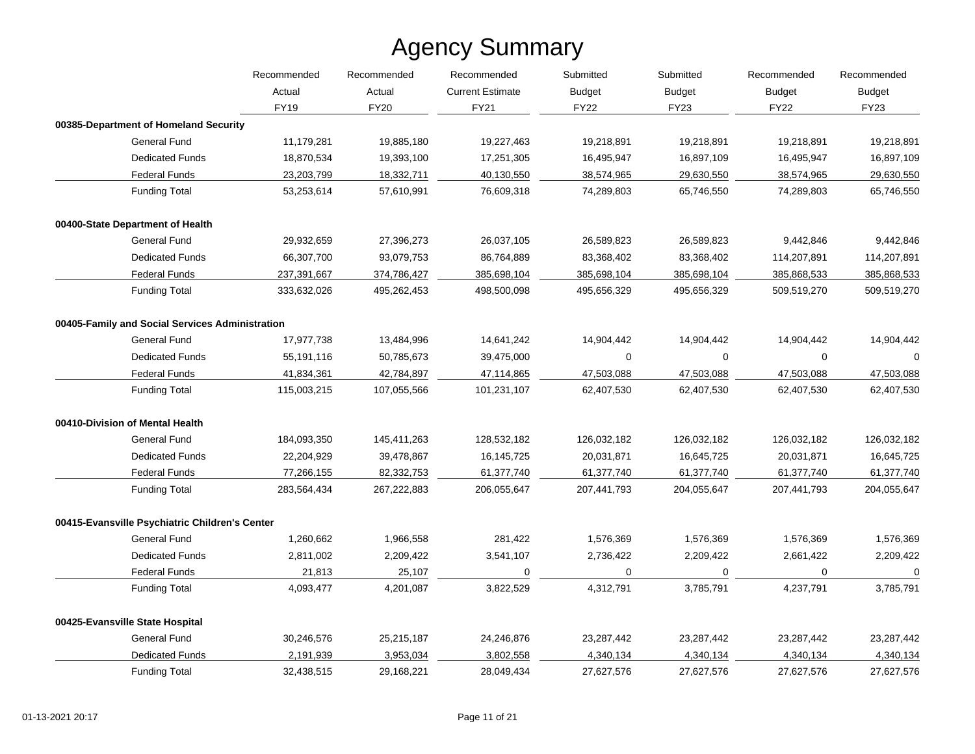|                                                 | Recommended | Recommended | Recommended<br><b>Current Estimate</b> | Submitted<br><b>Budget</b> | Submitted<br><b>Budget</b> | Recommended<br><b>Budget</b><br><b>FY22</b> | Recommended<br><b>Budget</b><br><b>FY23</b> |
|-------------------------------------------------|-------------|-------------|----------------------------------------|----------------------------|----------------------------|---------------------------------------------|---------------------------------------------|
|                                                 | Actual      | Actual      |                                        |                            |                            |                                             |                                             |
|                                                 | <b>FY19</b> | <b>FY20</b> | FY21                                   | <b>FY22</b>                | FY23                       |                                             |                                             |
| 00385-Department of Homeland Security           |             |             |                                        |                            |                            |                                             |                                             |
| <b>General Fund</b>                             | 11,179,281  | 19,885,180  | 19,227,463                             | 19,218,891                 | 19,218,891                 | 19,218,891                                  | 19,218,891                                  |
| <b>Dedicated Funds</b>                          | 18,870,534  | 19,393,100  | 17,251,305                             | 16,495,947                 | 16,897,109                 | 16,495,947                                  | 16,897,109                                  |
| <b>Federal Funds</b>                            | 23,203,799  | 18,332,711  | 40,130,550                             | 38,574,965                 | 29,630,550                 | 38,574,965                                  | 29,630,550                                  |
| <b>Funding Total</b>                            | 53,253,614  | 57,610,991  | 76,609,318                             | 74,289,803                 | 65,746,550                 | 74,289,803                                  | 65,746,550                                  |
| 00400-State Department of Health                |             |             |                                        |                            |                            |                                             |                                             |
| <b>General Fund</b>                             | 29,932,659  | 27,396,273  | 26,037,105                             | 26,589,823                 | 26,589,823                 | 9,442,846                                   | 9,442,846                                   |
| <b>Dedicated Funds</b>                          | 66,307,700  | 93,079,753  | 86,764,889                             | 83,368,402                 | 83,368,402                 | 114,207,891                                 | 114,207,891                                 |
| <b>Federal Funds</b>                            | 237,391,667 | 374,786,427 | 385,698,104                            | 385,698,104                | 385,698,104                | 385,868,533                                 | 385,868,533                                 |
| <b>Funding Total</b>                            | 333,632,026 | 495,262,453 | 498,500,098                            | 495,656,329                | 495,656,329                | 509,519,270                                 | 509,519,270                                 |
| 00405-Family and Social Services Administration |             |             |                                        |                            |                            |                                             |                                             |
| <b>General Fund</b>                             | 17,977,738  | 13,484,996  | 14,641,242                             | 14,904,442                 | 14,904,442                 | 14,904,442                                  | 14,904,442                                  |
| <b>Dedicated Funds</b>                          | 55,191,116  | 50,785,673  | 39,475,000                             | $\mathbf 0$                | 0                          | 0                                           | $\Omega$                                    |
| <b>Federal Funds</b>                            | 41,834,361  | 42,784,897  | 47,114,865                             | 47,503,088                 | 47,503,088                 | 47,503,088                                  | 47,503,088                                  |
| <b>Funding Total</b>                            | 115,003,215 | 107,055,566 | 101,231,107                            | 62,407,530                 | 62,407,530                 | 62,407,530                                  | 62,407,530                                  |
| 00410-Division of Mental Health                 |             |             |                                        |                            |                            |                                             |                                             |
| <b>General Fund</b>                             | 184,093,350 | 145,411,263 | 128,532,182                            | 126,032,182                | 126,032,182                | 126,032,182                                 | 126,032,182                                 |
| <b>Dedicated Funds</b>                          | 22,204,929  | 39,478,867  | 16,145,725                             | 20,031,871                 | 16,645,725                 | 20,031,871                                  | 16,645,725                                  |
| <b>Federal Funds</b>                            | 77,266,155  | 82,332,753  | 61,377,740                             | 61,377,740                 | 61,377,740                 | 61,377,740                                  | 61,377,740                                  |
| <b>Funding Total</b>                            | 283,564,434 | 267,222,883 | 206,055,647                            | 207,441,793                | 204,055,647                | 207,441,793                                 | 204,055,647                                 |
| 00415-Evansville Psychiatric Children's Center  |             |             |                                        |                            |                            |                                             |                                             |
| <b>General Fund</b>                             | 1,260,662   | 1,966,558   | 281,422                                | 1,576,369                  | 1,576,369                  | 1,576,369                                   | 1,576,369                                   |
| <b>Dedicated Funds</b>                          | 2,811,002   | 2,209,422   | 3,541,107                              | 2,736,422                  | 2,209,422                  | 2,661,422                                   | 2,209,422                                   |
| <b>Federal Funds</b>                            | 21,813      | 25,107      | 0                                      | 0                          | 0                          | $\mathbf 0$                                 | $\mathbf 0$                                 |
| <b>Funding Total</b>                            | 4,093,477   | 4,201,087   | 3,822,529                              | 4,312,791                  | 3,785,791                  | 4,237,791                                   | 3,785,791                                   |
| 00425-Evansville State Hospital                 |             |             |                                        |                            |                            |                                             |                                             |
| <b>General Fund</b>                             | 30,246,576  | 25,215,187  | 24,246,876                             | 23,287,442                 | 23,287,442                 | 23,287,442                                  | 23,287,442                                  |
| <b>Dedicated Funds</b>                          | 2,191,939   | 3,953,034   | 3,802,558                              | 4,340,134                  | 4,340,134                  | 4,340,134                                   | 4,340,134                                   |
| <b>Funding Total</b>                            | 32,438,515  | 29,168,221  | 28,049,434                             | 27,627,576                 | 27,627,576                 | 27,627,576                                  | 27,627,576                                  |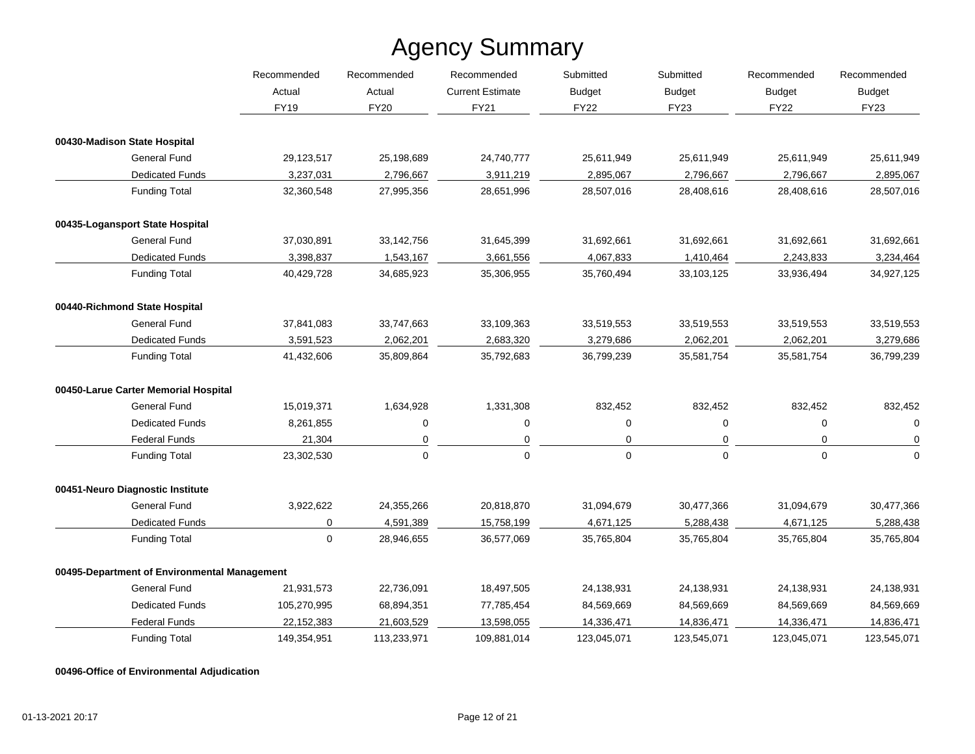|                                              | Recommended<br>Actual | Recommended | Recommended<br><b>Current Estimate</b> | Submitted<br><b>Budget</b> | Submitted<br><b>Budget</b> | Recommended<br><b>Budget</b><br><b>FY22</b> | Recommended<br><b>Budget</b> |
|----------------------------------------------|-----------------------|-------------|----------------------------------------|----------------------------|----------------------------|---------------------------------------------|------------------------------|
|                                              |                       | Actual      |                                        |                            |                            |                                             |                              |
|                                              | <b>FY19</b>           | <b>FY20</b> | FY21                                   | <b>FY22</b>                | <b>FY23</b>                |                                             | <b>FY23</b>                  |
| 00430-Madison State Hospital                 |                       |             |                                        |                            |                            |                                             |                              |
| <b>General Fund</b>                          | 29,123,517            | 25,198,689  | 24,740,777                             | 25,611,949                 | 25,611,949                 | 25,611,949                                  | 25,611,949                   |
| <b>Dedicated Funds</b>                       | 3,237,031             | 2,796,667   | 3,911,219                              | 2,895,067                  | 2,796,667                  | 2,796,667                                   | 2,895,067                    |
| <b>Funding Total</b>                         | 32,360,548            | 27,995,356  | 28,651,996                             | 28,507,016                 | 28,408,616                 | 28,408,616                                  | 28,507,016                   |
| 00435-Logansport State Hospital              |                       |             |                                        |                            |                            |                                             |                              |
| <b>General Fund</b>                          | 37,030,891            | 33,142,756  | 31,645,399                             | 31,692,661                 | 31,692,661                 | 31,692,661                                  | 31,692,661                   |
| <b>Dedicated Funds</b>                       | 3,398,837             | 1,543,167   | 3,661,556                              | 4,067,833                  | 1,410,464                  | 2,243,833                                   | 3,234,464                    |
| <b>Funding Total</b>                         | 40,429,728            | 34,685,923  | 35,306,955                             | 35,760,494                 | 33,103,125                 | 33,936,494                                  | 34,927,125                   |
| 00440-Richmond State Hospital                |                       |             |                                        |                            |                            |                                             |                              |
| <b>General Fund</b>                          | 37,841,083            | 33,747,663  | 33,109,363                             | 33,519,553                 | 33,519,553                 | 33,519,553                                  | 33,519,553                   |
| <b>Dedicated Funds</b>                       | 3,591,523             | 2,062,201   | 2,683,320                              | 3,279,686                  | 2,062,201                  | 2,062,201                                   | 3,279,686                    |
| <b>Funding Total</b>                         | 41,432,606            | 35,809,864  | 35,792,683                             | 36,799,239                 | 35,581,754                 | 35,581,754                                  | 36,799,239                   |
| 00450-Larue Carter Memorial Hospital         |                       |             |                                        |                            |                            |                                             |                              |
| <b>General Fund</b>                          | 15,019,371            | 1,634,928   | 1,331,308                              | 832,452                    | 832,452                    | 832,452                                     | 832,452                      |
| <b>Dedicated Funds</b>                       | 8,261,855             | 0           | 0                                      | 0                          | 0                          | 0                                           | 0                            |
| <b>Federal Funds</b>                         | 21,304                | 0           | 0                                      | $\mathbf 0$                | 0                          | $\mathbf 0$                                 | $\mathbf 0$                  |
| <b>Funding Total</b>                         | 23,302,530            | $\mathbf 0$ | $\Omega$                               | $\mathbf 0$                | 0                          | $\mathbf 0$                                 | $\mathbf 0$                  |
| 00451-Neuro Diagnostic Institute             |                       |             |                                        |                            |                            |                                             |                              |
| <b>General Fund</b>                          | 3,922,622             | 24,355,266  | 20,818,870                             | 31,094,679                 | 30,477,366                 | 31,094,679                                  | 30,477,366                   |
| <b>Dedicated Funds</b>                       | 0                     | 4,591,389   | 15,758,199                             | 4,671,125                  | 5,288,438                  | 4,671,125                                   | 5,288,438                    |
| <b>Funding Total</b>                         | 0                     | 28,946,655  | 36,577,069                             | 35,765,804                 | 35,765,804                 | 35,765,804                                  | 35,765,804                   |
| 00495-Department of Environmental Management |                       |             |                                        |                            |                            |                                             |                              |
| <b>General Fund</b>                          | 21,931,573            | 22,736,091  | 18,497,505                             | 24,138,931                 | 24,138,931                 | 24,138,931                                  | 24,138,931                   |
| <b>Dedicated Funds</b>                       | 105,270,995           | 68,894,351  | 77,785,454                             | 84,569,669                 | 84,569,669                 | 84,569,669                                  | 84,569,669                   |
| <b>Federal Funds</b>                         | 22,152,383            | 21,603,529  | 13,598,055                             | 14,336,471                 | 14,836,471                 | 14,336,471                                  | 14,836,471                   |
| <b>Funding Total</b>                         | 149,354,951           | 113,233,971 | 109,881,014                            | 123,045,071                | 123,545,071                | 123,045,071                                 | 123,545,071                  |

**00496-Office of Environmental Adjudication**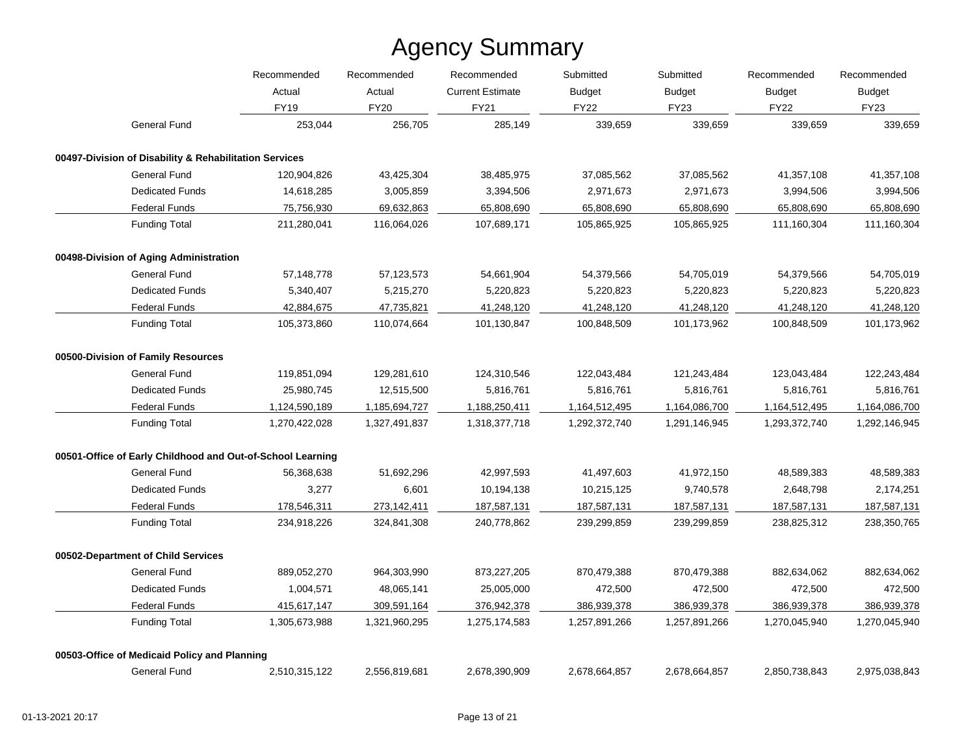|                                                            | Recommended   | Recommended   | Recommended             | Submitted     | Submitted     | Recommended   | Recommended   |
|------------------------------------------------------------|---------------|---------------|-------------------------|---------------|---------------|---------------|---------------|
|                                                            | Actual        | Actual        | <b>Current Estimate</b> | <b>Budget</b> | Budget        | <b>Budget</b> | <b>Budget</b> |
|                                                            | <b>FY19</b>   | <b>FY20</b>   | <b>FY21</b>             | <b>FY22</b>   | <b>FY23</b>   | <b>FY22</b>   | <b>FY23</b>   |
| <b>General Fund</b>                                        | 253,044       | 256,705       | 285,149                 | 339,659       | 339,659       | 339,659       | 339,659       |
| 00497-Division of Disability & Rehabilitation Services     |               |               |                         |               |               |               |               |
| General Fund                                               | 120,904,826   | 43,425,304    | 38,485,975              | 37,085,562    | 37,085,562    | 41,357,108    | 41,357,108    |
| <b>Dedicated Funds</b>                                     | 14,618,285    | 3,005,859     | 3,394,506               | 2,971,673     | 2,971,673     | 3,994,506     | 3,994,506     |
| <b>Federal Funds</b>                                       | 75,756,930    | 69,632,863    | 65,808,690              | 65,808,690    | 65,808,690    | 65,808,690    | 65,808,690    |
| <b>Funding Total</b>                                       | 211,280,041   | 116,064,026   | 107,689,171             | 105,865,925   | 105,865,925   | 111,160,304   | 111,160,304   |
| 00498-Division of Aging Administration                     |               |               |                         |               |               |               |               |
| <b>General Fund</b>                                        | 57,148,778    | 57,123,573    | 54,661,904              | 54,379,566    | 54,705,019    | 54,379,566    | 54,705,019    |
| <b>Dedicated Funds</b>                                     | 5,340,407     | 5,215,270     | 5,220,823               | 5,220,823     | 5,220,823     | 5,220,823     | 5,220,823     |
| <b>Federal Funds</b>                                       | 42,884,675    | 47,735,821    | 41,248,120              | 41,248,120    | 41,248,120    | 41,248,120    | 41,248,120    |
| <b>Funding Total</b>                                       | 105,373,860   | 110,074,664   | 101,130,847             | 100,848,509   | 101,173,962   | 100,848,509   | 101,173,962   |
| 00500-Division of Family Resources                         |               |               |                         |               |               |               |               |
| <b>General Fund</b>                                        | 119,851,094   | 129,281,610   | 124,310,546             | 122,043,484   | 121,243,484   | 123,043,484   | 122,243,484   |
| <b>Dedicated Funds</b>                                     | 25,980,745    | 12,515,500    | 5,816,761               | 5,816,761     | 5,816,761     | 5,816,761     | 5,816,761     |
| <b>Federal Funds</b>                                       | 1,124,590,189 | 1,185,694,727 | 1,188,250,411           | 1,164,512,495 | 1,164,086,700 | 1,164,512,495 | 1,164,086,700 |
| <b>Funding Total</b>                                       | 1,270,422,028 | 1,327,491,837 | 1,318,377,718           | 1,292,372,740 | 1,291,146,945 | 1,293,372,740 | 1,292,146,945 |
| 00501-Office of Early Childhood and Out-of-School Learning |               |               |                         |               |               |               |               |
| General Fund                                               | 56,368,638    | 51,692,296    | 42,997,593              | 41,497,603    | 41,972,150    | 48,589,383    | 48,589,383    |
| <b>Dedicated Funds</b>                                     | 3,277         | 6,601         | 10,194,138              | 10,215,125    | 9,740,578     | 2,648,798     | 2,174,251     |
| <b>Federal Funds</b>                                       | 178,546,311   | 273,142,411   | 187,587,131             | 187,587,131   | 187,587,131   | 187,587,131   | 187,587,131   |
| <b>Funding Total</b>                                       | 234,918,226   | 324,841,308   | 240,778,862             | 239,299,859   | 239,299,859   | 238,825,312   | 238,350,765   |
| 00502-Department of Child Services                         |               |               |                         |               |               |               |               |
| <b>General Fund</b>                                        | 889,052,270   | 964,303,990   | 873,227,205             | 870,479,388   | 870,479,388   | 882,634,062   | 882,634,062   |
| <b>Dedicated Funds</b>                                     | 1,004,571     | 48,065,141    | 25,005,000              | 472,500       | 472,500       | 472,500       | 472,500       |
| <b>Federal Funds</b>                                       | 415,617,147   | 309,591,164   | 376,942,378             | 386,939,378   | 386,939,378   | 386,939,378   | 386,939,378   |
| <b>Funding Total</b>                                       | 1,305,673,988 | 1,321,960,295 | 1,275,174,583           | 1,257,891,266 | 1,257,891,266 | 1,270,045,940 | 1,270,045,940 |
| 00503-Office of Medicaid Policy and Planning               |               |               |                         |               |               |               |               |
| <b>General Fund</b>                                        | 2,510,315,122 | 2,556,819,681 | 2,678,390,909           | 2,678,664,857 | 2,678,664,857 | 2,850,738,843 | 2,975,038,843 |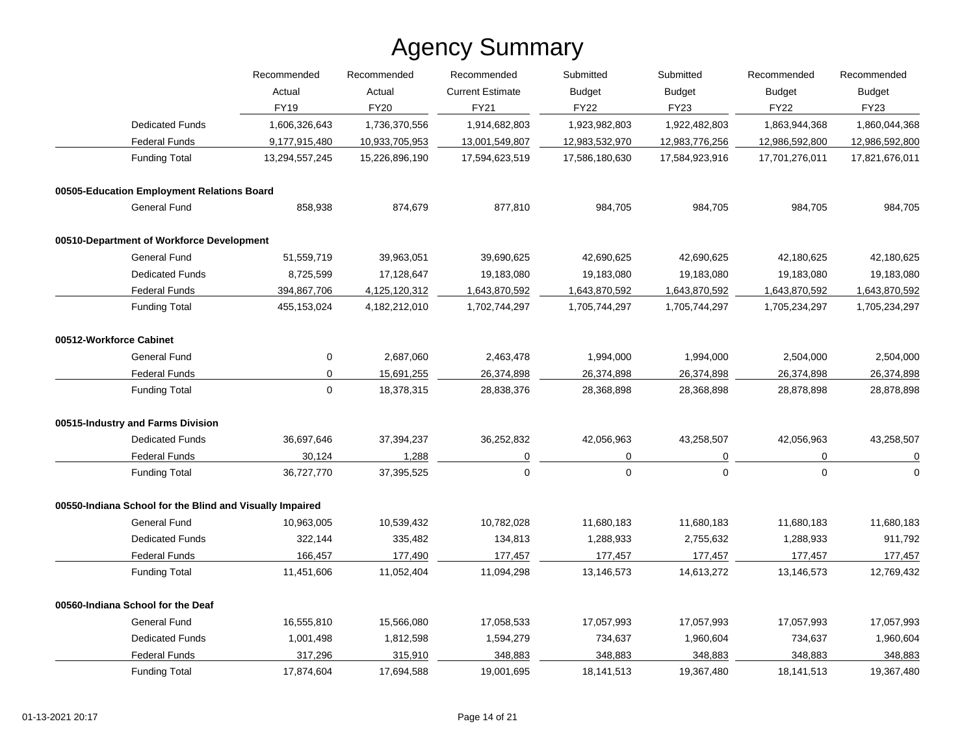|                                                          | Recommended    | Recommended    | Recommended<br><b>Current Estimate</b><br><b>FY21</b> | Submitted<br><b>Budget</b><br><b>FY22</b> | Submitted<br><b>Budget</b> | Recommended<br><b>Budget</b> | Recommended<br><b>Budget</b><br><b>FY23</b> |
|----------------------------------------------------------|----------------|----------------|-------------------------------------------------------|-------------------------------------------|----------------------------|------------------------------|---------------------------------------------|
|                                                          | Actual         | Actual         |                                                       |                                           |                            |                              |                                             |
|                                                          | <b>FY19</b>    | <b>FY20</b>    |                                                       |                                           | <b>FY23</b>                | <b>FY22</b>                  |                                             |
| <b>Dedicated Funds</b>                                   | 1,606,326,643  | 1,736,370,556  | 1,914,682,803                                         | 1,923,982,803                             | 1,922,482,803              | 1,863,944,368                | 1,860,044,368                               |
| <b>Federal Funds</b>                                     | 9,177,915,480  | 10,933,705,953 | 13,001,549,807                                        | 12,983,532,970                            | 12,983,776,256             | 12,986,592,800               | 12,986,592,800                              |
| <b>Funding Total</b>                                     | 13,294,557,245 | 15,226,896,190 | 17,594,623,519                                        | 17,586,180,630                            | 17,584,923,916             | 17,701,276,011               | 17,821,676,011                              |
| 00505-Education Employment Relations Board               |                |                |                                                       |                                           |                            |                              |                                             |
| General Fund                                             | 858,938        | 874,679        | 877,810                                               | 984,705                                   | 984,705                    | 984,705                      | 984,705                                     |
| 00510-Department of Workforce Development                |                |                |                                                       |                                           |                            |                              |                                             |
| <b>General Fund</b>                                      | 51,559,719     | 39,963,051     | 39,690,625                                            | 42,690,625                                | 42,690,625                 | 42,180,625                   | 42,180,625                                  |
| <b>Dedicated Funds</b>                                   | 8,725,599      | 17,128,647     | 19,183,080                                            | 19,183,080                                | 19,183,080                 | 19,183,080                   | 19,183,080                                  |
| <b>Federal Funds</b>                                     | 394,867,706    | 4,125,120,312  | 1,643,870,592                                         | 1,643,870,592                             | 1,643,870,592              | 1,643,870,592                | 1,643,870,592                               |
| <b>Funding Total</b>                                     | 455,153,024    | 4,182,212,010  | 1,702,744,297                                         | 1,705,744,297                             | 1,705,744,297              | 1,705,234,297                | 1,705,234,297                               |
| 00512-Workforce Cabinet                                  |                |                |                                                       |                                           |                            |                              |                                             |
| General Fund                                             | 0              | 2,687,060      | 2,463,478                                             | 1,994,000                                 | 1,994,000                  | 2,504,000                    | 2,504,000                                   |
| <b>Federal Funds</b>                                     | $\mathbf 0$    | 15,691,255     | 26,374,898                                            | 26,374,898                                | 26,374,898                 | 26,374,898                   | 26,374,898                                  |
| <b>Funding Total</b>                                     | $\Omega$       | 18,378,315     | 28,838,376                                            | 28,368,898                                | 28,368,898                 | 28,878,898                   | 28,878,898                                  |
| 00515-Industry and Farms Division                        |                |                |                                                       |                                           |                            |                              |                                             |
| <b>Dedicated Funds</b>                                   | 36,697,646     | 37,394,237     | 36,252,832                                            | 42,056,963                                | 43,258,507                 | 42,056,963                   | 43,258,507                                  |
| <b>Federal Funds</b>                                     | 30,124         | 1,288          | 0                                                     | 0                                         | 0                          | 0                            | $\overline{0}$                              |
| <b>Funding Total</b>                                     | 36,727,770     | 37,395,525     | $\Omega$                                              | $\pmb{0}$                                 | $\mathbf 0$                | $\mathbf 0$                  | $\mathbf 0$                                 |
| 00550-Indiana School for the Blind and Visually Impaired |                |                |                                                       |                                           |                            |                              |                                             |
| <b>General Fund</b>                                      | 10,963,005     | 10,539,432     | 10,782,028                                            | 11,680,183                                | 11,680,183                 | 11,680,183                   | 11,680,183                                  |
| <b>Dedicated Funds</b>                                   | 322,144        | 335,482        | 134,813                                               | 1,288,933                                 | 2,755,632                  | 1,288,933                    | 911,792                                     |
| <b>Federal Funds</b>                                     | 166,457        | 177,490        | 177,457                                               | 177,457                                   | 177,457                    | 177,457                      | 177,457                                     |
| <b>Funding Total</b>                                     | 11,451,606     | 11,052,404     | 11,094,298                                            | 13,146,573                                | 14,613,272                 | 13,146,573                   | 12,769,432                                  |
| 00560-Indiana School for the Deaf                        |                |                |                                                       |                                           |                            |                              |                                             |
| <b>General Fund</b>                                      | 16,555,810     | 15,566,080     | 17,058,533                                            | 17,057,993                                | 17,057,993                 | 17,057,993                   | 17,057,993                                  |
| <b>Dedicated Funds</b>                                   | 1,001,498      | 1,812,598      | 1,594,279                                             | 734,637                                   | 1,960,604                  | 734,637                      | 1,960,604                                   |
| <b>Federal Funds</b>                                     | 317,296        | 315,910        | 348,883                                               | 348,883                                   | 348,883                    | 348,883                      | 348,883                                     |
| <b>Funding Total</b>                                     | 17,874,604     | 17,694,588     | 19,001,695                                            | 18,141,513                                | 19,367,480                 | 18,141,513                   | 19,367,480                                  |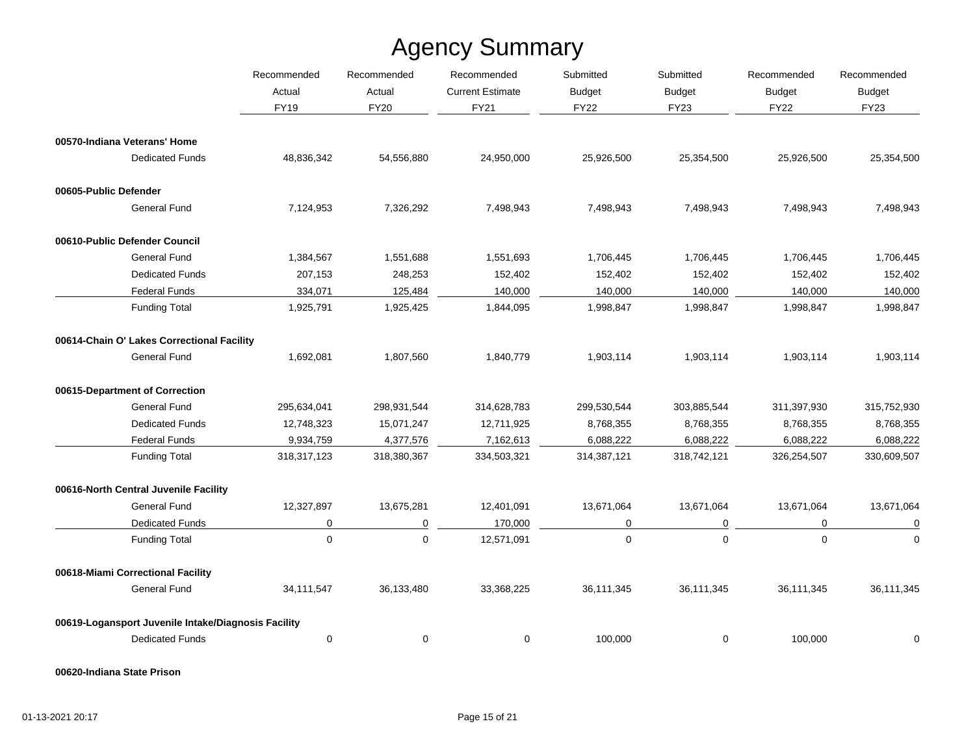|                                                     | Recommended |             | Recommended             | Recommended   | Submitted     | Submitted     | Recommended    | Recommended |
|-----------------------------------------------------|-------------|-------------|-------------------------|---------------|---------------|---------------|----------------|-------------|
|                                                     | Actual      | Actual      | <b>Current Estimate</b> | <b>Budget</b> | <b>Budget</b> | <b>Budget</b> | <b>Budget</b>  |             |
|                                                     | <b>FY19</b> | <b>FY20</b> | <b>FY21</b>             | <b>FY22</b>   | <b>FY23</b>   | <b>FY22</b>   | <b>FY23</b>    |             |
| 00570-Indiana Veterans' Home                        |             |             |                         |               |               |               |                |             |
| <b>Dedicated Funds</b>                              | 48,836,342  | 54,556,880  | 24,950,000              | 25,926,500    | 25,354,500    | 25,926,500    | 25,354,500     |             |
| 00605-Public Defender                               |             |             |                         |               |               |               |                |             |
| <b>General Fund</b>                                 | 7,124,953   | 7,326,292   | 7,498,943               | 7,498,943     | 7,498,943     | 7,498,943     | 7,498,943      |             |
| 00610-Public Defender Council                       |             |             |                         |               |               |               |                |             |
| <b>General Fund</b>                                 | 1,384,567   | 1,551,688   | 1,551,693               | 1,706,445     | 1,706,445     | 1,706,445     | 1,706,445      |             |
| <b>Dedicated Funds</b>                              | 207,153     | 248,253     | 152,402                 | 152,402       | 152,402       | 152,402       | 152,402        |             |
| <b>Federal Funds</b>                                | 334,071     | 125,484     | 140,000                 | 140,000       | 140,000       | 140,000       | 140,000        |             |
| <b>Funding Total</b>                                | 1,925,791   | 1,925,425   | 1,844,095               | 1,998,847     | 1,998,847     | 1,998,847     | 1,998,847      |             |
| 00614-Chain O' Lakes Correctional Facility          |             |             |                         |               |               |               |                |             |
| General Fund                                        | 1,692,081   | 1,807,560   | 1,840,779               | 1,903,114     | 1,903,114     | 1,903,114     | 1,903,114      |             |
| 00615-Department of Correction                      |             |             |                         |               |               |               |                |             |
| <b>General Fund</b>                                 | 295,634,041 | 298,931,544 | 314,628,783             | 299,530,544   | 303,885,544   | 311,397,930   | 315,752,930    |             |
| <b>Dedicated Funds</b>                              | 12,748,323  | 15,071,247  | 12,711,925              | 8,768,355     | 8,768,355     | 8,768,355     | 8,768,355      |             |
| <b>Federal Funds</b>                                | 9,934,759   | 4,377,576   | 7,162,613               | 6,088,222     | 6,088,222     | 6,088,222     | 6,088,222      |             |
| <b>Funding Total</b>                                | 318,317,123 | 318,380,367 | 334,503,321             | 314,387,121   | 318,742,121   | 326,254,507   | 330,609,507    |             |
| 00616-North Central Juvenile Facility               |             |             |                         |               |               |               |                |             |
| <b>General Fund</b>                                 | 12,327,897  | 13,675,281  | 12,401,091              | 13,671,064    | 13,671,064    | 13,671,064    | 13,671,064     |             |
| <b>Dedicated Funds</b>                              | 0           | 0           | 170,000                 | $\pmb{0}$     | 0             | $\mathbf 0$   | $\overline{0}$ |             |
| <b>Funding Total</b>                                | $\mathbf 0$ | $\mathbf 0$ | 12,571,091              | $\pmb{0}$     | $\mathbf 0$   | $\mathbf 0$   | $\mathbf 0$    |             |
| 00618-Miami Correctional Facility                   |             |             |                         |               |               |               |                |             |
| <b>General Fund</b>                                 | 34,111,547  | 36,133,480  | 33,368,225              | 36,111,345    | 36,111,345    | 36,111,345    | 36,111,345     |             |
| 00619-Logansport Juvenile Intake/Diagnosis Facility |             |             |                         |               |               |               |                |             |
| <b>Dedicated Funds</b>                              | $\pmb{0}$   | 0           | 0                       | 100,000       | 0             | 100,000       | 0              |             |

**00620-Indiana State Prison**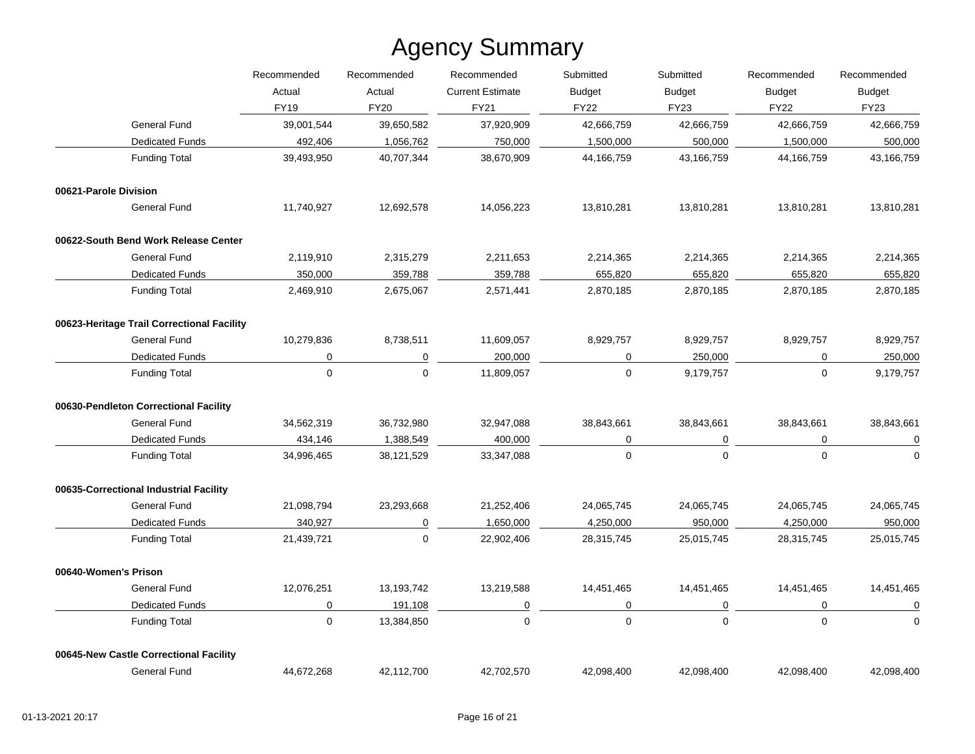|                                            | Recommended<br>Recommended | Recommended | Submitted               | Submitted     | Recommended | Recommended                  |                              |
|--------------------------------------------|----------------------------|-------------|-------------------------|---------------|-------------|------------------------------|------------------------------|
|                                            | Actual                     | Actual      | <b>Current Estimate</b> | <b>Budget</b> | Budget      | <b>Budget</b><br><b>FY22</b> | <b>Budget</b><br><b>FY23</b> |
|                                            | <b>FY19</b>                | <b>FY20</b> | <b>FY21</b>             | <b>FY22</b>   | FY23        |                              |                              |
| <b>General Fund</b>                        | 39,001,544                 | 39,650,582  | 37,920,909              | 42,666,759    | 42,666,759  | 42,666,759                   | 42,666,759                   |
| <b>Dedicated Funds</b>                     | 492,406                    | 1,056,762   | 750,000                 | 1,500,000     | 500,000     | 1,500,000                    | 500,000                      |
| <b>Funding Total</b>                       | 39,493,950                 | 40,707,344  | 38,670,909              | 44,166,759    | 43,166,759  | 44,166,759                   | 43,166,759                   |
| 00621-Parole Division                      |                            |             |                         |               |             |                              |                              |
| General Fund                               | 11,740,927                 | 12,692,578  | 14,056,223              | 13,810,281    | 13,810,281  | 13,810,281                   | 13,810,281                   |
| 00622-South Bend Work Release Center       |                            |             |                         |               |             |                              |                              |
| <b>General Fund</b>                        | 2,119,910                  | 2,315,279   | 2,211,653               | 2,214,365     | 2,214,365   | 2,214,365                    | 2,214,365                    |
| <b>Dedicated Funds</b>                     | 350,000                    | 359,788     | 359,788                 | 655,820       | 655,820     | 655,820                      | 655,820                      |
| <b>Funding Total</b>                       | 2,469,910                  | 2,675,067   | 2,571,441               | 2,870,185     | 2,870,185   | 2,870,185                    | 2,870,185                    |
| 00623-Heritage Trail Correctional Facility |                            |             |                         |               |             |                              |                              |
| <b>General Fund</b>                        | 10,279,836                 | 8,738,511   | 11,609,057              | 8,929,757     | 8,929,757   | 8,929,757                    | 8,929,757                    |
| <b>Dedicated Funds</b>                     | 0                          | 0           | 200,000                 | 0             | 250,000     | 0                            | 250,000                      |
| <b>Funding Total</b>                       | $\mathbf 0$                | $\mathbf 0$ | 11,809,057              | $\mathbf 0$   | 9,179,757   | 0                            | 9,179,757                    |
| 00630-Pendleton Correctional Facility      |                            |             |                         |               |             |                              |                              |
| <b>General Fund</b>                        | 34,562,319                 | 36,732,980  | 32,947,088              | 38,843,661    | 38,843,661  | 38,843,661                   | 38,843,661                   |
| <b>Dedicated Funds</b>                     | 434,146                    | 1,388,549   | 400,000                 | 0             | 0           | 0                            | 0                            |
| <b>Funding Total</b>                       | 34,996,465                 | 38,121,529  | 33,347,088              | $\mathbf 0$   | $\mathbf 0$ | $\mathbf 0$                  | $\mathbf 0$                  |
| 00635-Correctional Industrial Facility     |                            |             |                         |               |             |                              |                              |
| <b>General Fund</b>                        | 21,098,794                 | 23,293,668  | 21,252,406              | 24,065,745    | 24,065,745  | 24,065,745                   | 24,065,745                   |
| <b>Dedicated Funds</b>                     | 340,927                    | 0           | 1,650,000               | 4,250,000     | 950,000     | 4,250,000                    | 950,000                      |
| <b>Funding Total</b>                       | 21,439,721                 | $\mathbf 0$ | 22,902,406              | 28,315,745    | 25,015,745  | 28,315,745                   | 25,015,745                   |
| 00640-Women's Prison                       |                            |             |                         |               |             |                              |                              |
| <b>General Fund</b>                        | 12,076,251                 | 13,193,742  | 13,219,588              | 14,451,465    | 14,451,465  | 14,451,465                   | 14,451,465                   |
| <b>Dedicated Funds</b>                     | 0                          | 191,108     | 0                       | 0             | $\mathbf 0$ | $\mathbf 0$                  | $\overline{0}$               |
| <b>Funding Total</b>                       | $\pmb{0}$                  | 13,384,850  | $\mathbf 0$             | $\mathbf 0$   | $\mathbf 0$ | $\mathbf 0$                  | $\mathbf 0$                  |
| 00645-New Castle Correctional Facility     |                            |             |                         |               |             |                              |                              |
| <b>General Fund</b>                        | 44,672,268                 | 42,112,700  | 42,702,570              | 42,098,400    | 42,098,400  | 42,098,400                   | 42,098,400                   |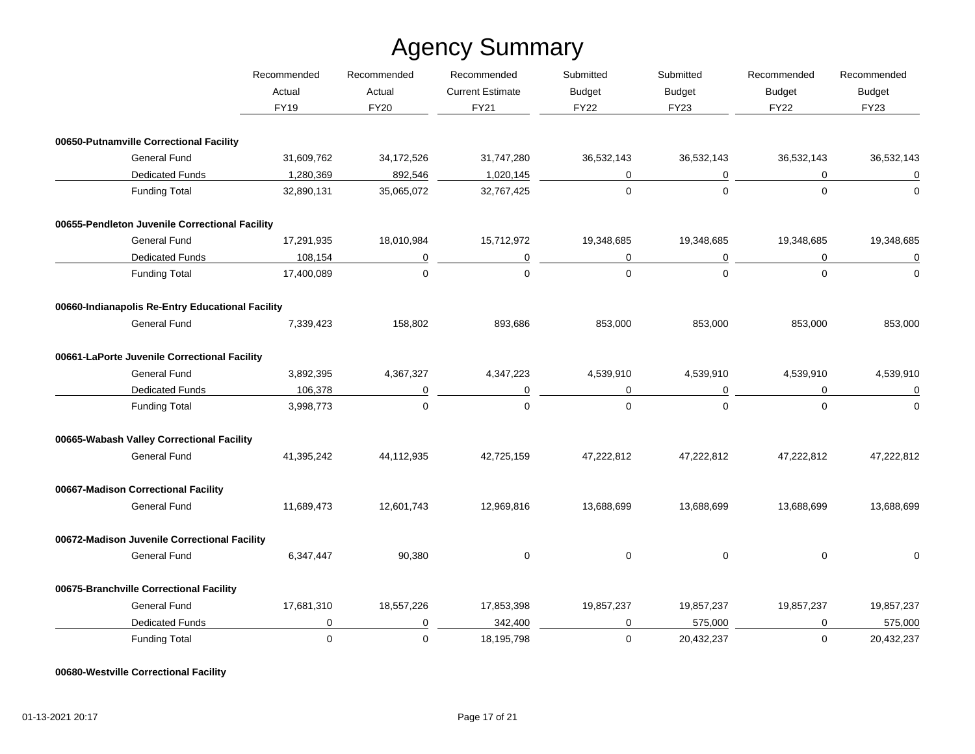|                                                  | Recommended | Recommended | Recommended             | Submitted     | Submitted     | Recommended   | Recommended      |
|--------------------------------------------------|-------------|-------------|-------------------------|---------------|---------------|---------------|------------------|
|                                                  | Actual      | Actual      | <b>Current Estimate</b> | <b>Budget</b> | <b>Budget</b> | <b>Budget</b> | <b>Budget</b>    |
|                                                  | <b>FY19</b> | <b>FY20</b> | <b>FY21</b>             | <b>FY22</b>   | <b>FY23</b>   | <b>FY22</b>   | <b>FY23</b>      |
| 00650-Putnamville Correctional Facility          |             |             |                         |               |               |               |                  |
| <b>General Fund</b>                              | 31,609,762  | 34,172,526  | 31,747,280              | 36,532,143    | 36,532,143    | 36,532,143    | 36,532,143       |
| <b>Dedicated Funds</b>                           | 1,280,369   | 892,546     | 1,020,145               | 0             | 0             | 0             | $\mathbf 0$      |
| <b>Funding Total</b>                             | 32,890,131  | 35,065,072  | 32,767,425              | $\mathbf 0$   | $\Omega$      | $\Omega$      | $\Omega$         |
| 00655-Pendleton Juvenile Correctional Facility   |             |             |                         |               |               |               |                  |
| <b>General Fund</b>                              | 17,291,935  | 18,010,984  | 15,712,972              | 19,348,685    | 19,348,685    | 19,348,685    | 19,348,685       |
| <b>Dedicated Funds</b>                           | 108,154     | 0           | 0                       | 0             | 0             | 0             | $\boldsymbol{0}$ |
| <b>Funding Total</b>                             | 17,400,089  | $\mathbf 0$ | $\Omega$                | $\mathbf 0$   | $\mathbf 0$   | $\mathbf 0$   | $\mathbf 0$      |
| 00660-Indianapolis Re-Entry Educational Facility |             |             |                         |               |               |               |                  |
| General Fund                                     | 7,339,423   | 158,802     | 893,686                 | 853,000       | 853,000       | 853,000       | 853,000          |
| 00661-LaPorte Juvenile Correctional Facility     |             |             |                         |               |               |               |                  |
| <b>General Fund</b>                              | 3,892,395   | 4,367,327   | 4,347,223               | 4,539,910     | 4,539,910     | 4,539,910     | 4,539,910        |
| <b>Dedicated Funds</b>                           | 106,378     | $\mathbf 0$ | $\mathbf 0$             | $\mathbf 0$   | $\mathbf 0$   | $\mathbf 0$   | $\mathbf 0$      |
| <b>Funding Total</b>                             | 3,998,773   | $\mathbf 0$ | $\Omega$                | $\mathbf 0$   | $\mathbf 0$   | $\mathbf 0$   | $\mathbf 0$      |
| 00665-Wabash Valley Correctional Facility        |             |             |                         |               |               |               |                  |
| <b>General Fund</b>                              | 41,395,242  | 44,112,935  | 42,725,159              | 47,222,812    | 47,222,812    | 47,222,812    | 47,222,812       |
| 00667-Madison Correctional Facility              |             |             |                         |               |               |               |                  |
| <b>General Fund</b>                              | 11,689,473  | 12,601,743  | 12,969,816              | 13,688,699    | 13,688,699    | 13,688,699    | 13,688,699       |
| 00672-Madison Juvenile Correctional Facility     |             |             |                         |               |               |               |                  |
| General Fund                                     | 6,347,447   | 90,380      | 0                       | $\mathbf 0$   | 0             | 0             | $\Omega$         |
| 00675-Branchville Correctional Facility          |             |             |                         |               |               |               |                  |
| General Fund                                     | 17,681,310  | 18,557,226  | 17,853,398              | 19,857,237    | 19,857,237    | 19,857,237    | 19,857,237       |
| <b>Dedicated Funds</b>                           | 0           | $\mathbf 0$ | 342,400                 | 0             | 575,000       | 0             | 575,000          |
| <b>Funding Total</b>                             | 0           | $\mathbf 0$ | 18,195,798              | $\mathbf 0$   | 20,432,237    | 0             | 20,432,237       |

**00680-Westville Correctional Facility**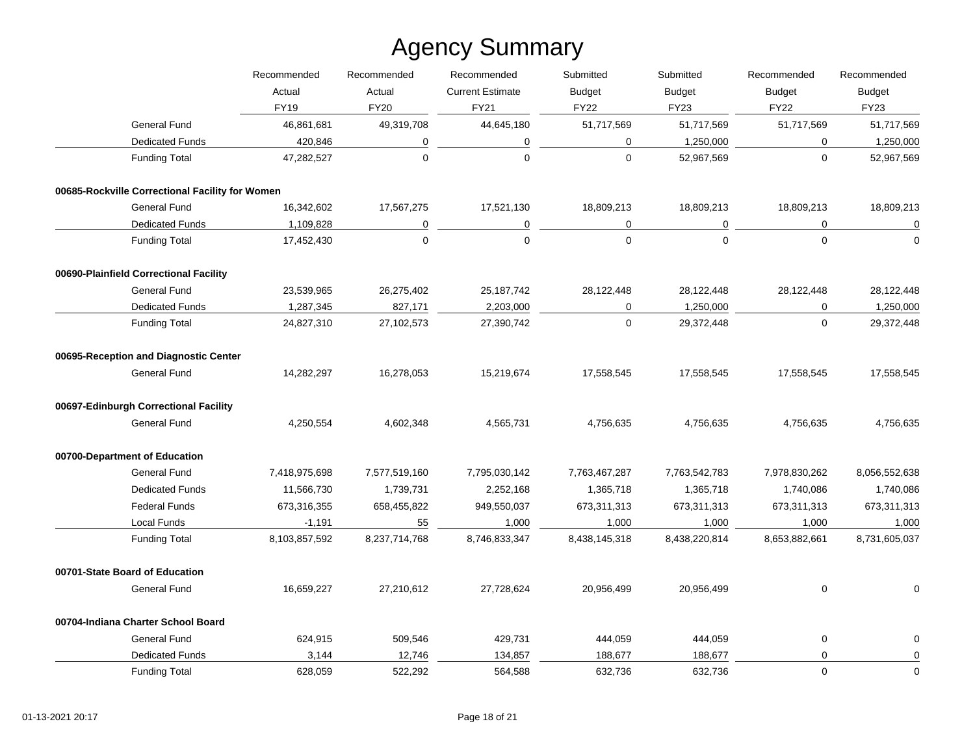|                                                 | Recommended   | Recommended    | Recommended             | Submitted     | Submitted     | Recommended         | Recommended   |
|-------------------------------------------------|---------------|----------------|-------------------------|---------------|---------------|---------------------|---------------|
|                                                 | Actual        | Actual         | <b>Current Estimate</b> | <b>Budget</b> | <b>Budget</b> | <b>Budget</b>       | <b>Budget</b> |
|                                                 | <b>FY19</b>   | <b>FY20</b>    | <b>FY21</b>             | <b>FY22</b>   | <b>FY23</b>   | <b>FY22</b>         | <b>FY23</b>   |
| <b>General Fund</b>                             | 46,861,681    | 49,319,708     | 44,645,180              | 51,717,569    | 51,717,569    | 51,717,569          | 51,717,569    |
| <b>Dedicated Funds</b>                          | 420,846       | 0              | $\pmb{0}$               | 0             | 1,250,000     | $\mathbf 0$         | 1,250,000     |
| <b>Funding Total</b>                            | 47,282,527    | $\mathbf 0$    | $\mathbf 0$             | $\mathbf 0$   | 52,967,569    | $\mathbf 0$         | 52,967,569    |
| 00685-Rockville Correctional Facility for Women |               |                |                         |               |               |                     |               |
| <b>General Fund</b>                             | 16,342,602    | 17,567,275     | 17,521,130              | 18,809,213    | 18,809,213    | 18,809,213          | 18,809,213    |
| <b>Dedicated Funds</b>                          | 1,109,828     | $\overline{0}$ | 0                       | 0             | 0             | 0                   | $\pmb{0}$     |
| <b>Funding Total</b>                            | 17,452,430    | $\mathbf 0$    | $\mathbf 0$             | $\mathbf 0$   | $\mathbf 0$   | $\mathbf{0}$        | $\Omega$      |
| 00690-Plainfield Correctional Facility          |               |                |                         |               |               |                     |               |
| General Fund                                    | 23,539,965    | 26,275,402     | 25, 187, 742            | 28,122,448    | 28,122,448    | 28,122,448          | 28,122,448    |
| <b>Dedicated Funds</b>                          | 1,287,345     | 827,171        | 2,203,000               | $\mathbf 0$   | 1,250,000     | 0                   | 1,250,000     |
| <b>Funding Total</b>                            | 24,827,310    | 27,102,573     | 27,390,742              | 0             | 29,372,448    | $\mathsf{O}\xspace$ | 29,372,448    |
| 00695-Reception and Diagnostic Center           |               |                |                         |               |               |                     |               |
| <b>General Fund</b>                             | 14,282,297    | 16,278,053     | 15,219,674              | 17,558,545    | 17,558,545    | 17,558,545          | 17,558,545    |
| 00697-Edinburgh Correctional Facility           |               |                |                         |               |               |                     |               |
| <b>General Fund</b>                             | 4,250,554     | 4,602,348      | 4,565,731               | 4,756,635     | 4,756,635     | 4,756,635           | 4,756,635     |
| 00700-Department of Education                   |               |                |                         |               |               |                     |               |
| General Fund                                    | 7,418,975,698 | 7,577,519,160  | 7,795,030,142           | 7,763,467,287 | 7,763,542,783 | 7,978,830,262       | 8,056,552,638 |
| <b>Dedicated Funds</b>                          | 11,566,730    | 1,739,731      | 2,252,168               | 1,365,718     | 1,365,718     | 1,740,086           | 1,740,086     |
| <b>Federal Funds</b>                            | 673,316,355   | 658,455,822    | 949,550,037             | 673,311,313   | 673,311,313   | 673,311,313         | 673,311,313   |
| Local Funds                                     | $-1,191$      | 55             | 1,000                   | 1,000         | 1,000         | 1,000               | 1,000         |
| <b>Funding Total</b>                            | 8,103,857,592 | 8,237,714,768  | 8,746,833,347           | 8,438,145,318 | 8,438,220,814 | 8,653,882,661       | 8,731,605,037 |
| 00701-State Board of Education                  |               |                |                         |               |               |                     |               |
| General Fund                                    | 16,659,227    | 27,210,612     | 27,728,624              | 20,956,499    | 20,956,499    | 0                   | $\Omega$      |
| 00704-Indiana Charter School Board              |               |                |                         |               |               |                     |               |
| General Fund                                    | 624,915       | 509,546        | 429,731                 | 444,059       | 444,059       | 0                   | $\pmb{0}$     |
| <b>Dedicated Funds</b>                          | 3,144         | 12,746         | 134,857                 | 188,677       | 188,677       | 0                   | 0             |
| <b>Funding Total</b>                            | 628,059       | 522,292        | 564,588                 | 632,736       | 632,736       | $\mathbf 0$         | $\mathbf 0$   |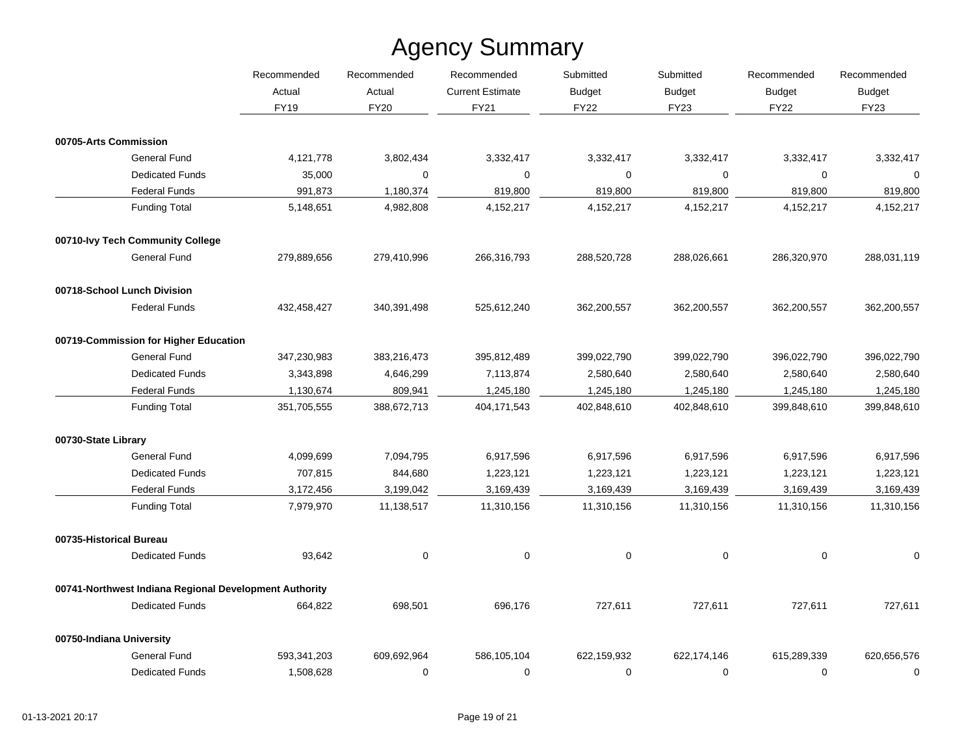|                                                        | Recommended | Recommended<br>Recommended<br>Actual<br><b>Current Estimate</b> | Submitted   | Submitted     | Recommended   | Recommended                  |                              |
|--------------------------------------------------------|-------------|-----------------------------------------------------------------|-------------|---------------|---------------|------------------------------|------------------------------|
|                                                        | Actual      |                                                                 |             | <b>Budget</b> | <b>Budget</b> | <b>Budget</b><br><b>FY22</b> | <b>Budget</b><br><b>FY23</b> |
|                                                        | <b>FY19</b> | <b>FY20</b>                                                     | FY21        | <b>FY22</b>   | <b>FY23</b>   |                              |                              |
| 00705-Arts Commission                                  |             |                                                                 |             |               |               |                              |                              |
| <b>General Fund</b>                                    | 4,121,778   | 3,802,434                                                       | 3,332,417   | 3,332,417     | 3,332,417     | 3,332,417                    | 3,332,417                    |
| <b>Dedicated Funds</b>                                 | 35,000      | $\mathbf 0$                                                     | $\mathbf 0$ | $\mathbf 0$   | $\mathbf 0$   | $\mathbf 0$                  | $\mathbf 0$                  |
| <b>Federal Funds</b>                                   | 991,873     | 1,180,374                                                       | 819,800     | 819,800       | 819,800       | 819,800                      | 819,800                      |
| <b>Funding Total</b>                                   | 5,148,651   | 4,982,808                                                       | 4,152,217   | 4,152,217     | 4,152,217     | 4,152,217                    | 4,152,217                    |
| 00710-lvy Tech Community College                       |             |                                                                 |             |               |               |                              |                              |
| <b>General Fund</b>                                    | 279,889,656 | 279,410,996                                                     | 266,316,793 | 288,520,728   | 288,026,661   | 286,320,970                  | 288,031,119                  |
| 00718-School Lunch Division                            |             |                                                                 |             |               |               |                              |                              |
| <b>Federal Funds</b>                                   | 432,458,427 | 340,391,498                                                     | 525,612,240 | 362,200,557   | 362,200,557   | 362,200,557                  | 362,200,557                  |
| 00719-Commission for Higher Education                  |             |                                                                 |             |               |               |                              |                              |
| <b>General Fund</b>                                    | 347,230,983 | 383,216,473                                                     | 395,812,489 | 399,022,790   | 399,022,790   | 396,022,790                  | 396,022,790                  |
| <b>Dedicated Funds</b>                                 | 3,343,898   | 4,646,299                                                       | 7,113,874   | 2,580,640     | 2,580,640     | 2,580,640                    | 2,580,640                    |
| <b>Federal Funds</b>                                   | 1,130,674   | 809,941                                                         | 1,245,180   | 1,245,180     | 1,245,180     | 1,245,180                    | 1,245,180                    |
| <b>Funding Total</b>                                   | 351,705,555 | 388,672,713                                                     | 404,171,543 | 402,848,610   | 402,848,610   | 399,848,610                  | 399,848,610                  |
| 00730-State Library                                    |             |                                                                 |             |               |               |                              |                              |
| <b>General Fund</b>                                    | 4,099,699   | 7,094,795                                                       | 6,917,596   | 6,917,596     | 6,917,596     | 6,917,596                    | 6,917,596                    |
| <b>Dedicated Funds</b>                                 | 707,815     | 844,680                                                         | 1,223,121   | 1,223,121     | 1,223,121     | 1,223,121                    | 1,223,121                    |
| <b>Federal Funds</b>                                   | 3,172,456   | 3,199,042                                                       | 3,169,439   | 3,169,439     | 3,169,439     | 3,169,439                    | 3,169,439                    |
| <b>Funding Total</b>                                   | 7,979,970   | 11,138,517                                                      | 11,310,156  | 11,310,156    | 11,310,156    | 11,310,156                   | 11,310,156                   |
| 00735-Historical Bureau                                |             |                                                                 |             |               |               |                              |                              |
| <b>Dedicated Funds</b>                                 | 93,642      | 0                                                               | $\mathbf 0$ | $\mathbf 0$   | $\mathbf 0$   | 0                            | $\mathbf 0$                  |
| 00741-Northwest Indiana Regional Development Authority |             |                                                                 |             |               |               |                              |                              |
| <b>Dedicated Funds</b>                                 | 664,822     | 698,501                                                         | 696,176     | 727,611       | 727,611       | 727,611                      | 727,611                      |
| 00750-Indiana University                               |             |                                                                 |             |               |               |                              |                              |
| <b>General Fund</b>                                    | 593,341,203 | 609,692,964                                                     | 586,105,104 | 622,159,932   | 622,174,146   | 615,289,339                  | 620,656,576                  |
| <b>Dedicated Funds</b>                                 | 1,508,628   | 0                                                               | 0           | 0             | 0             | 0                            | $\mathbf 0$                  |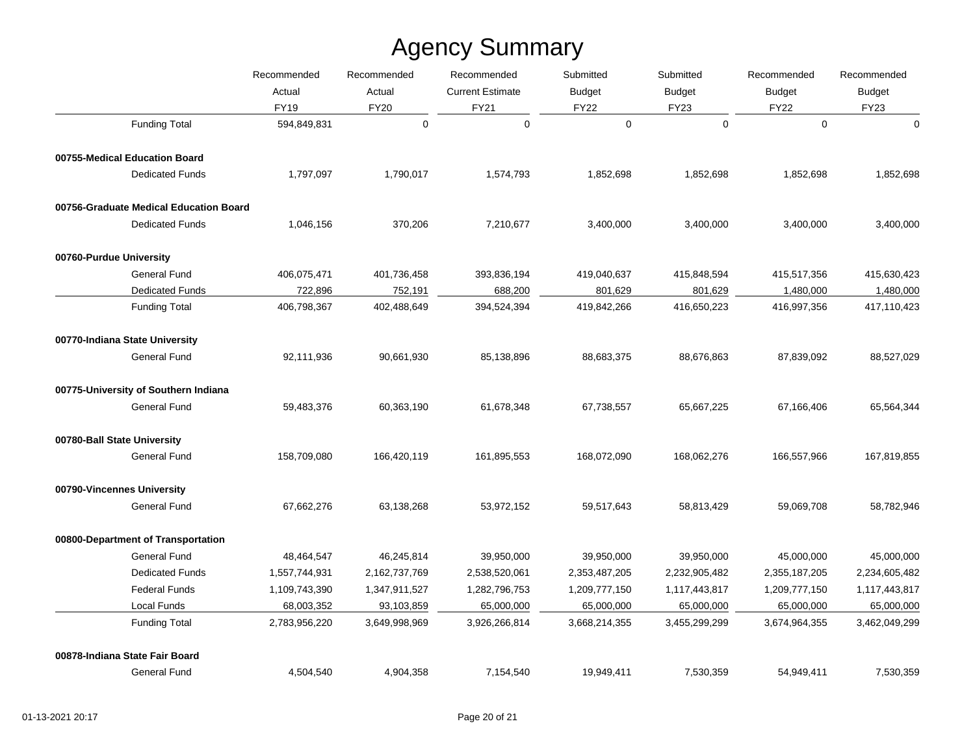|                                        | Recommended   | Recommended   | Recommended             | Submitted     | Submitted     | Recommended   | Recommended                  |
|----------------------------------------|---------------|---------------|-------------------------|---------------|---------------|---------------|------------------------------|
|                                        | Actual        | Actual        | <b>Current Estimate</b> | <b>Budget</b> | <b>Budget</b> | <b>Budget</b> | <b>Budget</b><br><b>FY23</b> |
|                                        | <b>FY19</b>   | <b>FY20</b>   | FY21                    | <b>FY22</b>   | <b>FY23</b>   | <b>FY22</b>   |                              |
| <b>Funding Total</b>                   | 594,849,831   | $\pmb{0}$     | $\mathbf 0$             | $\mathbf 0$   | $\mathbf 0$   | $\mathbf 0$   | $\mathbf 0$                  |
| 00755-Medical Education Board          |               |               |                         |               |               |               |                              |
| <b>Dedicated Funds</b>                 | 1,797,097     | 1,790,017     | 1,574,793               | 1,852,698     | 1,852,698     | 1,852,698     | 1,852,698                    |
| 00756-Graduate Medical Education Board |               |               |                         |               |               |               |                              |
| <b>Dedicated Funds</b>                 | 1,046,156     | 370,206       | 7,210,677               | 3,400,000     | 3,400,000     | 3,400,000     | 3,400,000                    |
| 00760-Purdue University                |               |               |                         |               |               |               |                              |
| General Fund                           | 406,075,471   | 401,736,458   | 393,836,194             | 419,040,637   | 415,848,594   | 415,517,356   | 415,630,423                  |
| <b>Dedicated Funds</b>                 | 722,896       | 752,191       | 688,200                 | 801,629       | 801,629       | 1,480,000     | 1,480,000                    |
| <b>Funding Total</b>                   | 406,798,367   | 402,488,649   | 394,524,394             | 419,842,266   | 416,650,223   | 416,997,356   | 417,110,423                  |
| 00770-Indiana State University         |               |               |                         |               |               |               |                              |
| General Fund                           | 92,111,936    | 90,661,930    | 85,138,896              | 88,683,375    | 88,676,863    | 87,839,092    | 88,527,029                   |
| 00775-University of Southern Indiana   |               |               |                         |               |               |               |                              |
| <b>General Fund</b>                    | 59,483,376    | 60,363,190    | 61,678,348              | 67,738,557    | 65,667,225    | 67,166,406    | 65,564,344                   |
| 00780-Ball State University            |               |               |                         |               |               |               |                              |
| <b>General Fund</b>                    | 158,709,080   | 166,420,119   | 161,895,553             | 168,072,090   | 168,062,276   | 166,557,966   | 167,819,855                  |
| 00790-Vincennes University             |               |               |                         |               |               |               |                              |
| <b>General Fund</b>                    | 67,662,276    | 63,138,268    | 53,972,152              | 59,517,643    | 58,813,429    | 59,069,708    | 58,782,946                   |
| 00800-Department of Transportation     |               |               |                         |               |               |               |                              |
| <b>General Fund</b>                    | 48,464,547    | 46,245,814    | 39,950,000              | 39,950,000    | 39,950,000    | 45,000,000    | 45,000,000                   |
| <b>Dedicated Funds</b>                 | 1,557,744,931 | 2,162,737,769 | 2,538,520,061           | 2,353,487,205 | 2,232,905,482 | 2,355,187,205 | 2,234,605,482                |
| <b>Federal Funds</b>                   | 1,109,743,390 | 1,347,911,527 | 1,282,796,753           | 1,209,777,150 | 1,117,443,817 | 1,209,777,150 | 1,117,443,817                |
| Local Funds                            | 68,003,352    | 93,103,859    | 65,000,000              | 65,000,000    | 65,000,000    | 65,000,000    | 65,000,000                   |
| <b>Funding Total</b>                   | 2,783,956,220 | 3,649,998,969 | 3,926,266,814           | 3,668,214,355 | 3,455,299,299 | 3,674,964,355 | 3,462,049,299                |
| 00878-Indiana State Fair Board         |               |               |                         |               |               |               |                              |
| <b>General Fund</b>                    | 4,504,540     | 4,904,358     | 7,154,540               | 19,949,411    | 7,530,359     | 54,949,411    | 7,530,359                    |